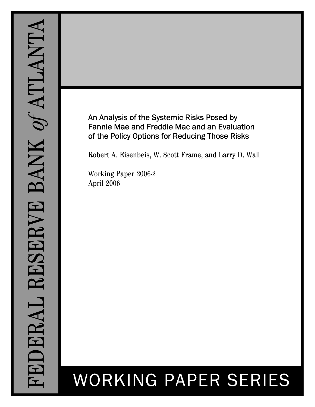# o*f* ATLANTA FEDERAL RESERVE BANK of ATLANTA FEDERAL RESERVE BANK

# An Analysis of the Systemic Risks Posed by Fannie Mae and Freddie Mac and an Evaluation of the Policy Options for Reducing Those Risks

Robert A. Eisenbeis, W. Scott Frame, and Larry D. Wall

Working Paper 2006-2 April 2006

# WORKING PAPER SERIES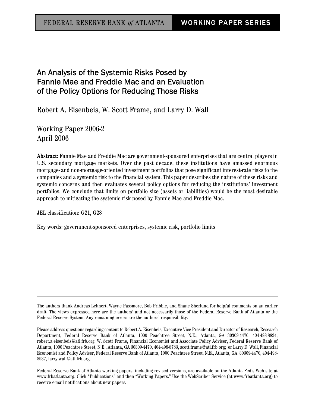## An Analysis of the Systemic Risks Posed by Fannie Mae and Freddie Mac and an Evaluation of the Policy Options for Reducing Those Risks

Robert A. Eisenbeis, W. Scott Frame, and Larry D. Wall

Working Paper 2006-2 April 2006

Abstract: Fannie Mae and Freddie Mac are government-sponsored enterprises that are central players in U.S. secondary mortgage markets. Over the past decade, these institutions have amassed enormous mortgage- and non-mortgage-oriented investment portfolios that pose significant interest-rate risks to the companies and a systemic risk to the financial system. This paper describes the nature of these risks and systemic concerns and then evaluates several policy options for reducing the institutions' investment portfolios. We conclude that limits on portfolio size (assets or liabilities) would be the most desirable approach to mitigating the systemic risk posed by Fannie Mae and Freddie Mac.

JEL classification: G21, G28

Key words: government-sponsored enterprises, systemic risk, portfolio limits

The authors thank Andreas Lehnert, Wayne Passmore, Bob Pribble, and Shane Sherlund for helpful comments on an earlier draft. The views expressed here are the authors' and not necessarily those of the Federal Reserve Bank of Atlanta or the Federal Reserve System. Any remaining errors are the authors' responsibility.

Please address questions regarding content to Robert A. Eisenbeis, Executive Vice President and Director of Research, Research Department, Federal Reserve Bank of Atlanta, 1000 Peachtree Street, N.E., Atlanta, GA 30309-4470, 404-498-8824, robert.a.eisenbeis@atl.frb.org; W. Scott Frame, Financial Economist and Associate Policy Adviser, Federal Reserve Bank of Atlanta, 1000 Peachtree Street, N.E., Atlanta, GA 30309-4470, 404-498-8783, scott.frame@atl.frb.org; or Larry D. Wall, Financial Economist and Policy Adviser, Federal Reserve Bank of Atlanta, 1000 Peachtree Street, N.E., Atlanta, GA 30309-4470, 404-498- 8937, larry.wall@atl.frb.org.

Federal Reserve Bank of Atlanta working papers, including revised versions, are available on the Atlanta Fed's Web site at www.frbatlanta.org. Click "Publications" and then "Working Papers." Use the WebScriber Service (at www.frbatlanta.org) to receive e-mail notifications about new papers.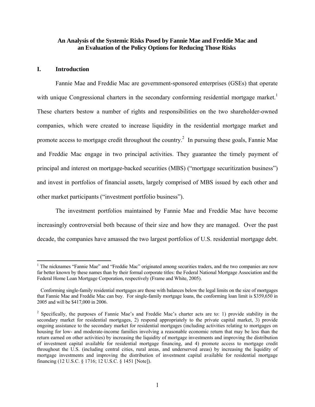### **An Analysis of the Systemic Risks Posed by Fannie Mae and Freddie Mac and an Evaluation of the Policy Options for Reducing Those Risks**

### **I. Introduction**

1

 Fannie Mae and Freddie Mac are government-sponsored enterprises (GSEs) that operate with unique Congressional charters in the secondary conforming residential mortgage market.<sup>1</sup> These charters bestow a number of rights and responsibilities on the two shareholder-owned companies, which were created to increase liquidity in the residential mortgage market and promote access to mortgage credit throughout the country.<sup>2</sup> In pursuing these goals, Fannie Mae and Freddie Mac engage in two principal activities. They guarantee the timely payment of principal and interest on mortgage-backed securities (MBS) ("mortgage securitization business") and invest in portfolios of financial assets, largely comprised of MBS issued by each other and other market participants ("investment portfolio business").

The investment portfolios maintained by Fannie Mae and Freddie Mac have become increasingly controversial both because of their size and how they are managed. Over the past decade, the companies have amassed the two largest portfolios of U.S. residential mortgage debt.

<sup>&</sup>lt;sup>1</sup> The nicknames "Fannie Mae" and "Freddie Mac" originated among securities traders, and the two companies are now far better known by these names than by their formal corporate titles: the Federal National Mortgage Association and the Federal Home Loan Mortgage Corporation, respectively (Frame and White, 2005).

Conforming single-family residential mortgages are those with balances below the legal limits on the size of mortgages that Fannie Mae and Freddie Mac can buy. For single-family mortgage loans, the conforming loan limit is \$359,650 in 2005 and will be \$417,000 in 2006.

<sup>&</sup>lt;sup>2</sup> Specifically, the purposes of Fannie Mae's and Freddie Mac's charter acts are to: 1) provide stability in the secondary market for residential mortgages, 2) respond appropriately to the private capital market, 3) provide ongoing assistance to the secondary market for residential mortgages (including activities relating to mortgages on housing for low- and moderate-income families involving a reasonable economic return that may be less than the return earned on other activities) by increasing the liquidity of mortgage investments and improving the distribution of investment capital available for residential mortgage financing, and 4) promote access to mortgage credit throughout the U.S. (including central cities, rural areas, and underserved areas) by increasing the liquidity of mortgage investments and improving the distribution of investment capital available for residential mortgage financing (12 U.S.C. § 1716; 12 U.S.C. § 1451 [Note]).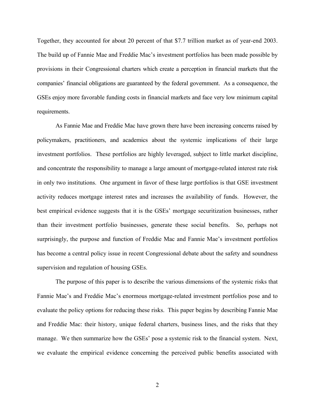Together, they accounted for about 20 percent of that \$7.7 trillion market as of year-end 2003. The build up of Fannie Mae and Freddie Mac's investment portfolios has been made possible by provisions in their Congressional charters which create a perception in financial markets that the companies' financial obligations are guaranteed by the federal government. As a consequence, the GSEs enjoy more favorable funding costs in financial markets and face very low minimum capital requirements.

As Fannie Mae and Freddie Mac have grown there have been increasing concerns raised by policymakers, practitioners, and academics about the systemic implications of their large investment portfolios. These portfolios are highly leveraged, subject to little market discipline, and concentrate the responsibility to manage a large amount of mortgage-related interest rate risk in only two institutions. One argument in favor of these large portfolios is that GSE investment activity reduces mortgage interest rates and increases the availability of funds. However, the best empirical evidence suggests that it is the GSEs' mortgage securitization businesses, rather than their investment portfolio businesses, generate these social benefits. So, perhaps not surprisingly, the purpose and function of Freddie Mac and Fannie Mae's investment portfolios has become a central policy issue in recent Congressional debate about the safety and soundness supervision and regulation of housing GSEs.

The purpose of this paper is to describe the various dimensions of the systemic risks that Fannie Mae's and Freddie Mac's enormous mortgage-related investment portfolios pose and to evaluate the policy options for reducing these risks. This paper begins by describing Fannie Mae and Freddie Mac: their history, unique federal charters, business lines, and the risks that they manage. We then summarize how the GSEs' pose a systemic risk to the financial system. Next, we evaluate the empirical evidence concerning the perceived public benefits associated with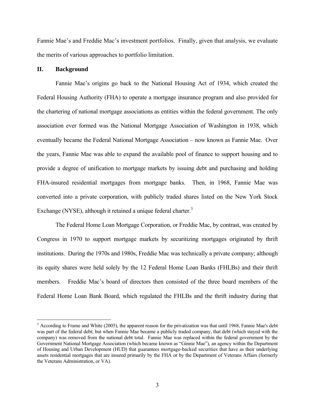Fannie Mae's and Freddie Mac's investment portfolios. Finally, given that analysis, we evaluate the merits of various approaches to portfolio limitation.

### **II. Background**

 $\overline{a}$ 

 Fannie Mae's origins go back to the National Housing Act of 1934, which created the Federal Housing Authority (FHA) to operate a mortgage insurance program and also provided for the chartering of national mortgage associations as entities within the federal government. The only association ever formed was the National Mortgage Association of Washington in 1938, which eventually became the Federal National Mortgage Association – now known as Fannie Mae. Over the years, Fannie Mae was able to expand the available pool of finance to support housing and to provide a degree of unification to mortgage markets by issuing debt and purchasing and holding FHA-insured residential mortgages from mortgage banks. Then, in 1968, Fannie Mae was converted into a private corporation, with publicly traded shares listed on the New York Stock Exchange (NYSE), although it retained a unique federal charter. $3$ 

 The Federal Home Loan Mortgage Corporation, or Freddie Mac, by contrast, was created by Congress in 1970 to support mortgage markets by securitizing mortgages originated by thrift institutions. During the 1970s and 1980s, Freddie Mac was technically a private company; although its equity shares were held solely by the 12 Federal Home Loan Banks (FHLBs) and their thrift members. Freddie Mac's board of directors then consisted of the three board members of the Federal Home Loan Bank Board, which regulated the FHLBs and the thrift industry during that

 $3$  According to Frame and White (2005), the apparent reason for the privatization was that until 1968, Fannie Mae's debt was part of the federal debt; but when Fannie Mae became a publicly traded company, that debt (which stayed with the company) was removed from the national debt total. Fannie Mae was replaced within the federal government by the Government National Mortgage Association (which became known as "Ginnie Mae"), an agency within the Department of Housing and Urban Development (HUD) that guarantees mortgage-backed securities that have as their underlying assets residential mortgages that are insured primarily by the FHA or by the Department of Veterans Affairs (formerly the Veterans Administration, or VA).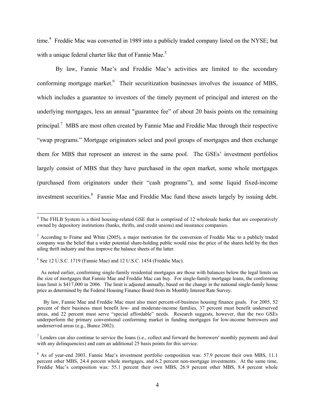time.<sup>4</sup> Freddie Mac was converted in 1989 into a publicly traded company listed on the NYSE; but with a unique federal charter like that of Fannie Mae.<sup>5</sup>

 By law, Fannie Mae's and Freddie Mac's activities are limited to the secondary conforming mortgage market.<sup>6</sup> Their securitization businesses involves the issuance of MBS, which includes a guarantee to investors of the timely payment of principal and interest on the underlying mortgages, less an annual "guarantee fee" of about 20 basis points on the remaining principal.<sup>7</sup> MBS are most often created by Fannie Mae and Freddie Mac through their respective "swap programs." Mortgage originators select and pool groups of mortgages and then exchange them for MBS that represent an interest in the same pool. The GSEs' investment portfolios largely consist of MBS that they have purchased in the open market, some whole mortgages (purchased from originators under their "cash programs"), and some liquid fixed-income investment securities.<sup>8</sup> Fannie Mae and Freddie Mac fund these assets largely by issuing debt.

<sup>&</sup>lt;sup>4</sup> The FHLB System is a third housing-related GSE that is comprised of 12 wholesale banks that are cooperatively owned by depository institutions (banks, thrifts, and credit unions) and insurance companies.

<sup>&</sup>lt;sup>5</sup> According to Frame and White (2005), a major motivation for the conversion of Freddie Mac to a publicly traded company was the belief that a wider potential share-holding public would raise the price of the shares held by the then ailing thrift industry and thus improve the balance sheets of the latter.

<sup>6</sup> See 12 U.S.C. 1719 (Fannie Mae) and 12 U.S.C. 1454 (Freddie Mac).

As noted earlier, conforming single-family residential mortgages are those with balances below the legal limits on the size of mortgages that Fannie Mae and Freddie Mac can buy. For single-family mortgage loans, the conforming loan limit is \$417,000 in 2006. The limit is adjusted annually, based on the change in the national single-family house price as determined by the Federal Housing Finance Board from its Monthly Interest Rate Survey.

By law, Fannie Mae and Freddie Mac must also meet percent-of-business housing finance goals. For 2005, 52 percent of their business must benefit low- and moderate-income families, 37 percent must benefit underserved areas, and 22 percent must serve "special affordable" needs. Research suggests, however, that the two GSEs underperform the primary conventional conforming market in funding mortgages for low-income borrowers and underserved areas (e.g., Bunce 2002).

 $<sup>7</sup>$  Lenders can also continue to service the loans (i.e., collect and forward the borrowers' monthly payments and deal</sup> with any delinquencies) and earn an additional 25 basis points for this service.

<sup>&</sup>lt;sup>8</sup> As of year-end 2003, Fannie Mae's investment portfolio composition was: 57.9 percent their own MBS, 11.1 percent other MBS, 24.4 percent whole mortgages, and 6.2 percent non-mortgage investments. At the same time, Freddie Mac's composition was: 55.1 percent their own MBS, 26.9 percent other MBS, 8.4 percent whole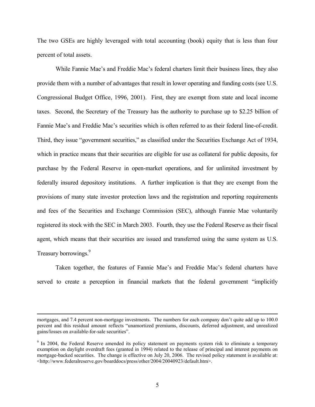The two GSEs are highly leveraged with total accounting (book) equity that is less than four percent of total assets.

 While Fannie Mae's and Freddie Mac's federal charters limit their business lines, they also provide them with a number of advantages that result in lower operating and funding costs (see U.S. Congressional Budget Office, 1996, 2001). First, they are exempt from state and local income taxes. Second, the Secretary of the Treasury has the authority to purchase up to \$2.25 billion of Fannie Mae's and Freddie Mac's securities which is often referred to as their federal line-of-credit. Third, they issue "government securities," as classified under the Securities Exchange Act of 1934, which in practice means that their securities are eligible for use as collateral for public deposits, for purchase by the Federal Reserve in open-market operations, and for unlimited investment by federally insured depository institutions. A further implication is that they are exempt from the provisions of many state investor protection laws and the registration and reporting requirements and fees of the Securities and Exchange Commission (SEC), although Fannie Mae voluntarily registered its stock with the SEC in March 2003. Fourth, they use the Federal Reserve as their fiscal agent, which means that their securities are issued and transferred using the same system as U.S. Treasury borrowings.<sup>9</sup>

 Taken together, the features of Fannie Mae's and Freddie Mac's federal charters have served to create a perception in financial markets that the federal government "implicitly

mortgages, and 7.4 percent non-mortgage investments. The numbers for each company don't quite add up to 100.0 percent and this residual amount reflects "unamortized premiums, discounts, deferred adjustment, and unrealized gains/losses on available-for-sale securities".

<sup>&</sup>lt;sup>9</sup> In 2004, the Federal Reserve amended its policy statement on payments system risk to eliminate a temporary exemption on daylight overdraft fees (granted in 1994) related to the release of principal and interest payments on mortgage-backed securities. The change is effective on July 20, 2006. The revised policy statement is available at: <http://www.federalreserve.gov/boarddocs/press/other/2004/20040923/default.htm>.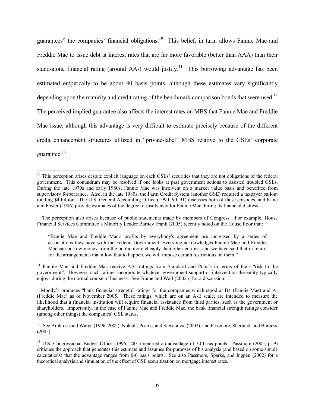guarantees" the companies' financial obligations.<sup>10</sup> This belief, in turn, allows Fannie Mae and Freddie Mac to issue debt at interest rates that are far more favorable (better than AAA) than their stand-alone financial rating (around AA-) would justify.<sup>11</sup> This borrowing advantage has been estimated empirically to be about 40 basis points, although these estimates vary significantly depending upon the maturity and credit rating of the benchmark comparison bonds that were used.<sup>12</sup> The perceived implied guarantee also affects the interest rates on MBS that Fannie Mae and Freddie Mac issue; although this advantage is very difficult to estimate precisely because of the different credit enhancement structures utilized in "private-label" MBS relative to the GSEs' corporate guarantee.<sup>13</sup>

 $\overline{a}$ 

 The perception also arises because of public statements made by members of Congress. For example, House Financial Services Committee's Minority Leader Barney Frank (2005) recently noted on the House floor that:

"Fannie Mae and Freddie Mac's profits by everybody's agreement are increased by a series of associations they have with the Federal Government. Everyone acknowledges Fannie Mae and Freddie Mac can borrow money from the public more cheaply than other entities, and we have said that in return for the arrangements that allow that to happen, we will impose certain restrictions on them."

<sup>11</sup> Fannie Mae and Freddie Mac receive AA- ratings from Standard and Poor's in terms of their "risk to the government". However, such ratings incorporate whatever government support or intervention the entity typically enjoys during the normal course of business. See Frame and Wall (2002a) for a discussion.

 Moody's produces "bank financial strength" ratings for the companies which stood at B+ (Fannie Mae) and A- (Freddie Mac) as of November 2005. These ratings, which are on an A-E scale, are intended to measure the likelihood that a financial institution will require financial assistance from third parties, such as the government or shareholders. Importantly, in the case of Fannie Mae and Freddie Mac, the bank financial strength ratings consider (among other things) the companies' GSE status.

<sup>12</sup> See Ambrose and Warga (1996, 2002), Nothaft, Pearce, and Stevanovic (2002), and Passmore, Sherlund, and Burgess (2005).

 $10$  This perception arises despite explicit language on each GSEs' securities that they are not obligations of the federal government. This conundrum may be resolved if one looks at past government actions to assisted troubled GSEs. During the late 1970s and early 1980s, Fannie Mae was insolvent on a market value basis and benefited from supervisory forbearance. Also, in the late 1980s, the Farm Credit System (another GSE) required a taxpayer bailout totaling \$4 billion. The U.S. General Accounting Office (1990, 90–91) discusses both of these episodes, and Kane and Foster (1986) provide estimates of the degree of insolvency for Fannie Mae during its financial distress.

<sup>&</sup>lt;sup>13</sup> U.S. Congressional Budget Office (1996, 2001) reported an advantage of 30 basis points. Passmore (2005, p. 9) critiques the approach that generates this estimate and assumes for purposes of his analysis (and based on some simple calculations) that the advantage ranges from 0-6 basis points. See also Passmore, Sparks, and Ingpen (2002) for a theoretical analysis and simulation of the effect of GSE securitization on mortgage interest rates.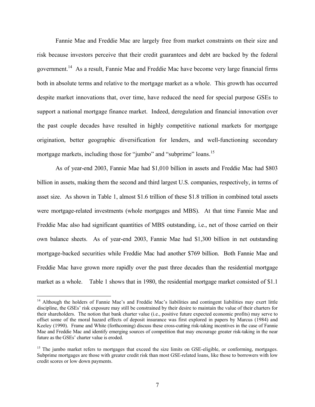Fannie Mae and Freddie Mac are largely free from market constraints on their size and risk because investors perceive that their credit guarantees and debt are backed by the federal government.14 As a result, Fannie Mae and Freddie Mac have become very large financial firms both in absolute terms and relative to the mortgage market as a whole. This growth has occurred despite market innovations that, over time, have reduced the need for special purpose GSEs to support a national mortgage finance market. Indeed, deregulation and financial innovation over the past couple decades have resulted in highly competitive national markets for mortgage origination, better geographic diversification for lenders, and well-functioning secondary mortgage markets, including those for "jumbo" and "subprime" loans.<sup>15</sup>

 As of year-end 2003, Fannie Mae had \$1,010 billion in assets and Freddie Mac had \$803 billion in assets, making them the second and third largest U.S. companies, respectively, in terms of asset size. As shown in Table 1, almost \$1.6 trillion of these \$1.8 trillion in combined total assets were mortgage-related investments (whole mortgages and MBS). At that time Fannie Mae and Freddie Mac also had significant quantities of MBS outstanding, i.e., net of those carried on their own balance sheets. As of year-end 2003, Fannie Mae had \$1,300 billion in net outstanding mortgage-backed securities while Freddie Mac had another \$769 billion. Both Fannie Mae and Freddie Mac have grown more rapidly over the past three decades than the residential mortgage market as a whole. Table 1 shows that in 1980, the residential mortgage market consisted of \$1.1

<sup>&</sup>lt;sup>14</sup> Although the holders of Fannie Mae's and Freddie Mac's liabilities and contingent liabilities may exert little discipline, the GSEs' risk exposure may still be constrained by their desire to maintain the value of their charters for their shareholders. The notion that bank charter value (i.e., positive future expected economic profits) may serve to offset some of the moral hazard effects of deposit insurance was first explored in papers by Marcus (1984) and Keeley (1990). Frame and White (forthcoming) discuss these cross-cutting risk-taking incentives in the case of Fannie Mae and Freddie Mac and identify emerging sources of competition that may encourage greater risk-taking in the near future as the GSEs' charter value is eroded.

<sup>&</sup>lt;sup>15</sup> The jumbo market refers to mortgages that exceed the size limits on GSE-eligible, or conforming, mortgages. Subprime mortgages are those with greater credit risk than most GSE-related loans, like those to borrowers with low credit scores or low down payments.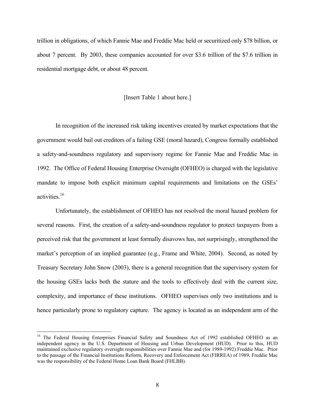trillion in obligations, of which Fannie Mae and Freddie Mac held or securitized only \$78 billion, or about 7 percent. By 2003, these companies accounted for over \$3.6 trillion of the \$7.6 trillion in residential mortgage debt, or about 48 percent.

### [Insert Table 1 about here.]

In recognition of the increased risk taking incentives created by market expectations that the government would bail out creditors of a failing GSE (moral hazard), Congress formally established a safety-and-soundness regulatory and supervisory regime for Fannie Mae and Freddie Mac in 1992. The Office of Federal Housing Enterprise Oversight (OFHEO) is charged with the legislative mandate to impose both explicit minimum capital requirements and limitations on the GSEs' activities.16

Unfortunately, the establishment of OFHEO has not resolved the moral hazard problem for several reasons. First, the creation of a safety-and-soundness regulator to protect taxpayers from a perceived risk that the government at least formally disavows has, not surprisingly, strengthened the market's perception of an implied guarantee (e.g., Frame and White, 2004). Second, as noted by Treasury Secretary John Snow (2003), there is a general recognition that the supervisory system for the housing GSEs lacks both the stature and the tools to effectively deal with the current size, complexity, and importance of these institutions. OFHEO supervises only two institutions and is hence particularly prone to regulatory capture. The agency is located as an independent arm of the

<sup>&</sup>lt;sup>16</sup> The Federal Housing Enterprises Financial Safety and Soundness Act of 1992 established OFHEO as an independent agency in the U.S. Department of Housing and Urban Development (HUD). Prior to this, HUD maintained exclusive regulatory oversight responsibilities over Fannie Mae and (for 1989-1992) Freddie Mac. Prior to the passage of the Financial Institutions Reform, Recovery and Enforcement Act (FIRREA) of 1989, Freddie Mac was the responsibility of the Federal Home Loan Bank Board (FHLBB).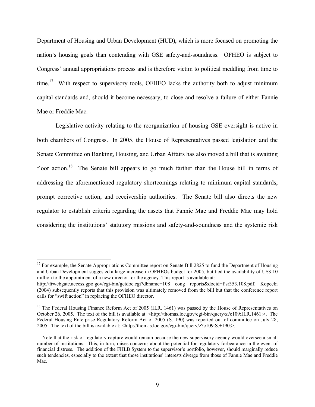Department of Housing and Urban Development (HUD), which is more focused on promoting the nation's housing goals than contending with GSE safety-and-soundness. OFHEO is subject to Congress' annual appropriations process and is therefore victim to political meddling from time to time.<sup>17</sup> With respect to supervisory tools, OFHEO lacks the authority both to adjust minimum capital standards and, should it become necessary, to close and resolve a failure of either Fannie Mae or Freddie Mac.

 Legislative activity relating to the reorganization of housing GSE oversight is active in both chambers of Congress. In 2005, the House of Representatives passed legislation and the Senate Committee on Banking, Housing, and Urban Affairs has also moved a bill that is awaiting floor action.<sup>18</sup> The Senate bill appears to go much farther than the House bill in terms of addressing the aforementioned regulatory shortcomings relating to minimum capital standards, prompt corrective action, and receivership authorities. The Senate bill also directs the new regulator to establish criteria regarding the assets that Fannie Mae and Freddie Mac may hold considering the institutions' statutory missions and safety-and-soundness and the systemic risk

 $17$  For example, the Senate Appropriations Committee report on Senate Bill 2825 to fund the Department of Housing and Urban Development suggested a large increase in OFHEOs budget for 2005, but tied the availability of US\$ 10 million to the appointment of a new director for the agency. This report is available at:

http://frwebgate.access.gpo.gov/cgi-bin/getdoc.cgi?dbname=108 cong reports&docid=f:sr353.108.pdf. Kopecki (2004) subsequently reports that this provision was ultimately removed from the bill but that the conference report calls for "swift action" in replacing the OFHEO director.

<sup>&</sup>lt;sup>18</sup> The Federal Housing Finance Reform Act of 2005 (H.R. 1461) was passed by the House of Representatives on October 26, 2005. The text of the bill is available at: <http://thomas.loc.gov/cgi-bin/query/z?c109:H.R.1461:>. The Federal Housing Enterprise Regulatory Reform Act of 2005 (S. 190) was reported out of committee on July 28, 2005. The text of the bill is available at: <http://thomas.loc.gov/cgi-bin/query/z?c109:S.+190:>.

Note that the risk of regulatory capture would remain because the new supervisory agency would oversee a small number of institutions. This, in turn, raises concerns about the potential for regulatory forbearance in the event of financial distress. The addition of the FHLB System to the supervisor's portfolio, however, should marginally reduce such tendencies, especially to the extent that those institutions' interests diverge from those of Fannie Mae and Freddie Mac.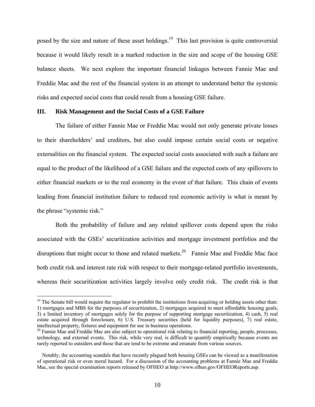posed by the size and nature of these asset holdings.<sup>19</sup> This last provision is quite controversial because it would likely result in a marked reduction in the size and scope of the housing GSE balance sheets. We next explore the important financial linkages between Fannie Mae and Freddie Mac and the rest of the financial system in an attempt to understand better the systemic risks and expected social costs that could result from a housing GSE failure.

### **III. Risk Management and the Social Costs of a GSE Failure**

1

The failure of either Fannie Mae or Freddie Mac would not only generate private losses to their shareholders' and creditors, but also could impose certain social costs or negative externalities on the financial system. The expected social costs associated with such a failure are equal to the product of the likelihood of a GSE failure and the expected costs of any spillovers to either financial markets or to the real economy in the event of that failure. This chain of events leading from financial institution failure to reduced real economic activity is what is meant by the phrase "systemic risk."

Both the probability of failure and any related spillover costs depend upon the risks associated with the GSEs' securitization activities and mortgage investment portfolios and the disruptions that might occur to those and related markets.<sup>20</sup> Fannie Mae and Freddie Mac face both credit risk and interest rate risk with respect to their mortgage-related portfolio investments, whereas their securitization activities largely involve only credit risk. The credit risk is that

 $19$  The Senate bill would require the regulator to prohibit the institutions from acquiring or holding assets other than: 1) mortgages and MBS for the purposes of securitization, 2) mortgages acquired to meet affordable housing goals, 3) a limited inventory of mortgages solely for the purpose of supporting mortgage securitization, 4) cash, 5) real estate acquired through foreclosure, 6) U.S. Treasury securities (held for liquidity purposes), 7) real estate, intellectual property, fixtures and equipment for use in business operations.

 $^{20}$  Fannie Mae and Freddie Mac are also subject to operational risk relating to financial reporting, people, processes, technology, and external events. This risk, while very real, is difficult to quantify empirically because events are rarely reported to outsiders and those that are tend to be extreme and emanate from various sources.

Notably, the accounting scandals that have recently plagued both housing GSEs can be viewed as a manifestation of operational risk or even moral hazard. For a discussion of the accounting problems at Fannie Mae and Freddie Mac, see the special examination reports released by OFHEO at http://www.ofheo.gov/OFHEOReports.asp.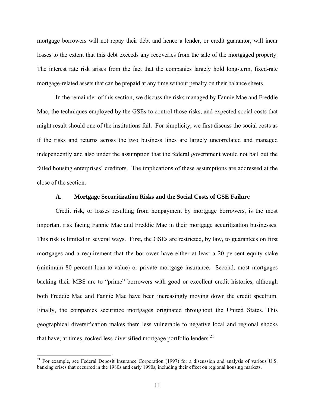mortgage borrowers will not repay their debt and hence a lender, or credit guarantor, will incur losses to the extent that this debt exceeds any recoveries from the sale of the mortgaged property. The interest rate risk arises from the fact that the companies largely hold long-term, fixed-rate mortgage-related assets that can be prepaid at any time without penalty on their balance sheets.

In the remainder of this section, we discuss the risks managed by Fannie Mae and Freddie Mac, the techniques employed by the GSEs to control those risks, and expected social costs that might result should one of the institutions fail. For simplicity, we first discuss the social costs as if the risks and returns across the two business lines are largely uncorrelated and managed independently and also under the assumption that the federal government would not bail out the failed housing enterprises' creditors. The implications of these assumptions are addressed at the close of the section.

### **A. Mortgage Securitization Risks and the Social Costs of GSE Failure**

Credit risk, or losses resulting from nonpayment by mortgage borrowers, is the most important risk facing Fannie Mae and Freddie Mac in their mortgage securitization businesses. This risk is limited in several ways. First, the GSEs are restricted, by law, to guarantees on first mortgages and a requirement that the borrower have either at least a 20 percent equity stake (minimum 80 percent loan-to-value) or private mortgage insurance. Second, most mortgages backing their MBS are to "prime" borrowers with good or excellent credit histories, although both Freddie Mae and Fannie Mac have been increasingly moving down the credit spectrum. Finally, the companies securitize mortgages originated throughout the United States. This geographical diversification makes them less vulnerable to negative local and regional shocks that have, at times, rocked less-diversified mortgage portfolio lenders.<sup>21</sup>

<sup>&</sup>lt;sup>21</sup> For example, see Federal Deposit Insurance Corporation (1997) for a discussion and analysis of various U.S. banking crises that occurred in the 1980s and early 1990s, including their effect on regional housing markets.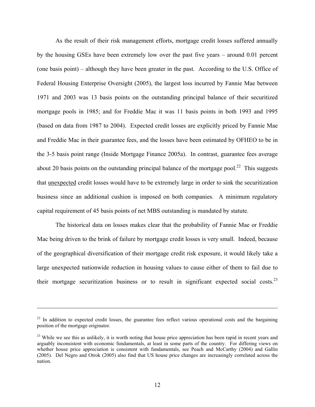As the result of their risk management efforts, mortgage credit losses suffered annually by the housing GSEs have been extremely low over the past five years – around 0.01 percent (one basis point) – although they have been greater in the past. According to the U.S. Office of Federal Housing Enterprise Oversight (2005), the largest loss incurred by Fannie Mae between 1971 and 2003 was 13 basis points on the outstanding principal balance of their securitized mortgage pools in 1985; and for Freddie Mac it was 11 basis points in both 1993 and 1995 (based on data from 1987 to 2004). Expected credit losses are explicitly priced by Fannie Mae and Freddie Mac in their guarantee fees, and the losses have been estimated by OFHEO to be in the 3-5 basis point range (Inside Mortgage Finance 2005a). In contrast, guarantee fees average about 20 basis points on the outstanding principal balance of the mortgage pool.<sup>22</sup> This suggests that unexpected credit losses would have to be extremely large in order to sink the securitization business since an additional cushion is imposed on both companies. A minimum regulatory capital requirement of 45 basis points of net MBS outstanding is mandated by statute.

 The historical data on losses makes clear that the probability of Fannie Mae or Freddie Mac being driven to the brink of failure by mortgage credit losses is very small. Indeed, because of the geographical diversification of their mortgage credit risk exposure, it would likely take a large unexpected nationwide reduction in housing values to cause either of them to fail due to their mortgage securitization business or to result in significant expected social costs.<sup>23</sup>

 $22$  In addition to expected credit losses, the guarantee fees reflect various operational costs and the bargaining position of the mortgage originator.

 $23$  While we see this as unlikely, it is worth noting that house price appreciation has been rapid in recent years and arguably inconsistent with economic fundamentals, at least in some parts of the country. For differing views on whether house price appreciation is consistent with fundamentals, see Peach and McCarthy (2004) and Gallin (2005). Del Negro and Otrok (2005) also find that US house price changes are increasingly correlated across the nation.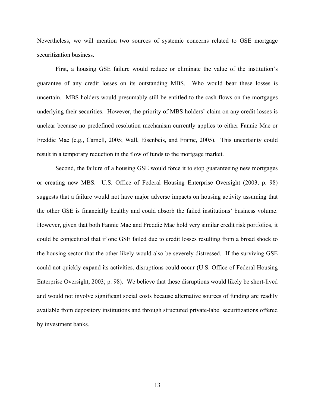Nevertheless, we will mention two sources of systemic concerns related to GSE mortgage securitization business.

First, a housing GSE failure would reduce or eliminate the value of the institution's guarantee of any credit losses on its outstanding MBS. Who would bear these losses is uncertain. MBS holders would presumably still be entitled to the cash flows on the mortgages underlying their securities. However, the priority of MBS holders' claim on any credit losses is unclear because no predefined resolution mechanism currently applies to either Fannie Mae or Freddie Mac (e.g., Carnell, 2005; Wall, Eisenbeis, and Frame, 2005). This uncertainty could result in a temporary reduction in the flow of funds to the mortgage market.

Second, the failure of a housing GSE would force it to stop guaranteeing new mortgages or creating new MBS. U.S. Office of Federal Housing Enterprise Oversight (2003, p. 98) suggests that a failure would not have major adverse impacts on housing activity assuming that the other GSE is financially healthy and could absorb the failed institutions' business volume. However, given that both Fannie Mae and Freddie Mac hold very similar credit risk portfolios, it could be conjectured that if one GSE failed due to credit losses resulting from a broad shock to the housing sector that the other likely would also be severely distressed. If the surviving GSE could not quickly expand its activities, disruptions could occur (U.S. Office of Federal Housing Enterprise Oversight, 2003; p. 98). We believe that these disruptions would likely be short-lived and would not involve significant social costs because alternative sources of funding are readily available from depository institutions and through structured private-label securitizations offered by investment banks.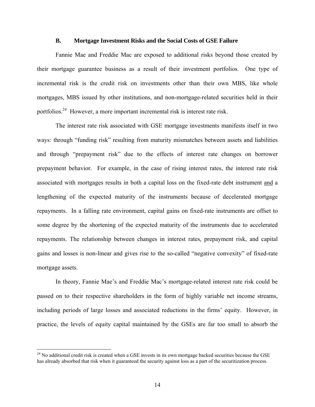### **B. Mortgage Investment Risks and the Social Costs of GSE Failure**

Fannie Mae and Freddie Mac are exposed to additional risks beyond those created by their mortgage guarantee business as a result of their investment portfolios. One type of incremental risk is the credit risk on investments other than their own MBS, like whole mortgages, MBS issued by other institutions, and non-mortgage-related securities held in their portfolios.24 However, a more important incremental risk is interest rate risk.

The interest rate risk associated with GSE mortgage investments manifests itself in two ways: through "funding risk" resulting from maturity mismatches between assets and liabilities and through "prepayment risk" due to the effects of interest rate changes on borrower prepayment behavior. For example, in the case of rising interest rates, the interest rate risk associated with mortgages results in both a capital loss on the fixed-rate debt instrument and a lengthening of the expected maturity of the instruments because of decelerated mortgage repayments. In a falling rate environment, capital gains on fixed-rate instruments are offset to some degree by the shortening of the expected maturity of the instruments due to accelerated repayments. The relationship between changes in interest rates, prepayment risk, and capital gains and losses is non-linear and gives rise to the so-called "negative convexity" of fixed-rate mortgage assets.

In theory, Fannie Mae's and Freddie Mac's mortgage-related interest rate risk could be passed on to their respective shareholders in the form of highly variable net income streams, including periods of large losses and associated reductions in the firms' equity. However, in practice, the levels of equity capital maintained by the GSEs are far too small to absorb the

 $^{24}$  No additional credit risk is created when a GSE invests in its own mortgage backed securities because the GSE has already absorbed that risk when it guaranteed the security against loss as a part of the securitization process.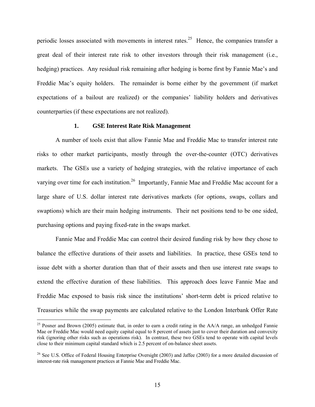periodic losses associated with movements in interest rates.<sup>25</sup> Hence, the companies transfer a great deal of their interest rate risk to other investors through their risk management (i.e., hedging) practices. Any residual risk remaining after hedging is borne first by Fannie Mae's and Freddie Mac's equity holders. The remainder is borne either by the government (if market expectations of a bailout are realized) or the companies' liability holders and derivatives counterparties (if these expectations are not realized).

### **1. GSE Interest Rate Risk Management**

A number of tools exist that allow Fannie Mae and Freddie Mac to transfer interest rate risks to other market participants, mostly through the over-the-counter (OTC) derivatives markets. The GSEs use a variety of hedging strategies, with the relative importance of each varying over time for each institution.<sup>26</sup> Importantly, Fannie Mae and Freddie Mac account for a large share of U.S. dollar interest rate derivatives markets (for options, swaps, collars and swaptions) which are their main hedging instruments. Their net positions tend to be one sided, purchasing options and paying fixed-rate in the swaps market.

Fannie Mae and Freddie Mac can control their desired funding risk by how they chose to balance the effective durations of their assets and liabilities. In practice, these GSEs tend to issue debt with a shorter duration than that of their assets and then use interest rate swaps to extend the effective duration of these liabilities. This approach does leave Fannie Mae and Freddie Mac exposed to basis risk since the institutions' short-term debt is priced relative to Treasuries while the swap payments are calculated relative to the London Interbank Offer Rate

<sup>&</sup>lt;sup>25</sup> Posner and Brown (2005) estimate that, in order to earn a credit rating in the AA/A range, an unhedged Fannie Mae or Freddie Mac would need equity capital equal to 8 percent of assets just to cover their duration and convexity risk (ignoring other risks such as operations risk). In contrast, these two GSEs tend to operate with capital levels close to their minimum capital standard which is 2.5 percent of on-balance sheet assets.

<sup>&</sup>lt;sup>26</sup> See U.S. Office of Federal Housing Enterprise Oversight (2003) and Jaffee (2003) for a more detailed discussion of interest-rate risk management practices at Fannie Mae and Freddie Mac.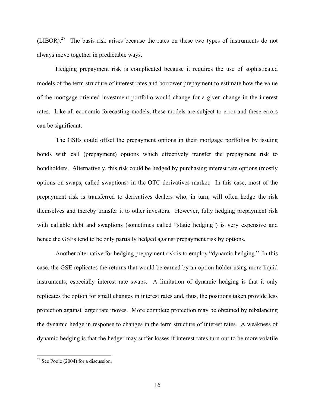(LIBOR).27 The basis risk arises because the rates on these two types of instruments do not always move together in predictable ways.

Hedging prepayment risk is complicated because it requires the use of sophisticated models of the term structure of interest rates and borrower prepayment to estimate how the value of the mortgage-oriented investment portfolio would change for a given change in the interest rates. Like all economic forecasting models, these models are subject to error and these errors can be significant.

The GSEs could offset the prepayment options in their mortgage portfolios by issuing bonds with call (prepayment) options which effectively transfer the prepayment risk to bondholders. Alternatively, this risk could be hedged by purchasing interest rate options (mostly options on swaps, called swaptions) in the OTC derivatives market. In this case, most of the prepayment risk is transferred to derivatives dealers who, in turn, will often hedge the risk themselves and thereby transfer it to other investors. However, fully hedging prepayment risk with callable debt and swaptions (sometimes called "static hedging") is very expensive and hence the GSEs tend to be only partially hedged against prepayment risk by options.

Another alternative for hedging prepayment risk is to employ "dynamic hedging." In this case, the GSE replicates the returns that would be earned by an option holder using more liquid instruments, especially interest rate swaps. A limitation of dynamic hedging is that it only replicates the option for small changes in interest rates and, thus, the positions taken provide less protection against larger rate moves. More complete protection may be obtained by rebalancing the dynamic hedge in response to changes in the term structure of interest rates. A weakness of dynamic hedging is that the hedger may suffer losses if interest rates turn out to be more volatile

 $27$  See Poole (2004) for a discussion.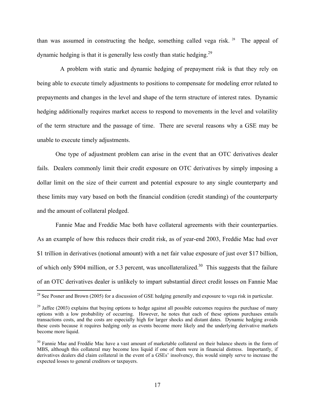than was assumed in constructing the hedge, something called vega risk.  $28$  The appeal of dynamic hedging is that it is generally less costly than static hedging.<sup>29</sup>

 A problem with static and dynamic hedging of prepayment risk is that they rely on being able to execute timely adjustments to positions to compensate for modeling error related to prepayments and changes in the level and shape of the term structure of interest rates. Dynamic hedging additionally requires market access to respond to movements in the level and volatility of the term structure and the passage of time. There are several reasons why a GSE may be unable to execute timely adjustments.

One type of adjustment problem can arise in the event that an OTC derivatives dealer fails. Dealers commonly limit their credit exposure on OTC derivatives by simply imposing a dollar limit on the size of their current and potential exposure to any single counterparty and these limits may vary based on both the financial condition (credit standing) of the counterparty and the amount of collateral pledged.

Fannie Mae and Freddie Mac both have collateral agreements with their counterparties. As an example of how this reduces their credit risk, as of year-end 2003, Freddie Mac had over \$1 trillion in derivatives (notional amount) with a net fair value exposure of just over \$17 billion, of which only \$904 million, or 5.3 percent, was uncollateralized.<sup>30</sup> This suggests that the failure of an OTC derivatives dealer is unlikely to impart substantial direct credit losses on Fannie Mae

 $^{28}$  See Posner and Brown (2005) for a discussion of GSE hedging generally and exposure to vega risk in particular.

<sup>&</sup>lt;sup>29</sup> Jaffee (2003) explains that buying options to hedge against all possible outcomes requires the purchase of many options with a low probability of occurring. However, he notes that each of these options purchases entails transactions costs, and the costs are especially high for larger shocks and distant dates. Dynamic hedging avoids these costs because it requires hedging only as events become more likely and the underlying derivative markets become more liquid.

<sup>&</sup>lt;sup>30</sup> Fannie Mae and Freddie Mac have a vast amount of marketable collateral on their balance sheets in the form of MBS, although this collateral may become less liquid if one of them were in financial distress. Importantly, if derivatives dealers did claim collateral in the event of a GSEs' insolvency, this would simply serve to increase the expected losses to general creditors or taxpayers.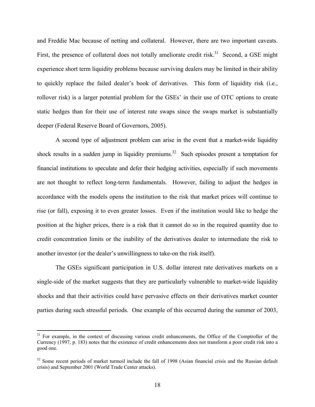and Freddie Mac because of netting and collateral. However, there are two important caveats. First, the presence of collateral does not totally ameliorate credit risk.<sup>31</sup> Second, a GSE might experience short term liquidity problems because surviving dealers may be limited in their ability to quickly replace the failed dealer's book of derivatives. This form of liquidity risk (i.e., rollover risk) is a larger potential problem for the GSEs' in their use of OTC options to create static hedges than for their use of interest rate swaps since the swaps market is substantially deeper (Federal Reserve Board of Governors, 2005).

 A second type of adjustment problem can arise in the event that a market-wide liquidity shock results in a sudden jump in liquidity premiums.<sup>32</sup> Such episodes present a temptation for financial institutions to speculate and defer their hedging activities, especially if such movements are not thought to reflect long-term fundamentals. However, failing to adjust the hedges in accordance with the models opens the institution to the risk that market prices will continue to rise (or fall), exposing it to even greater losses. Even if the institution would like to hedge the position at the higher prices, there is a risk that it cannot do so in the required quantity due to credit concentration limits or the inability of the derivatives dealer to intermediate the risk to another investor (or the dealer's unwillingness to take-on the risk itself).

The GSEs significant participation in U.S. dollar interest rate derivatives markets on a single-side of the market suggests that they are particularly vulnerable to market-wide liquidity shocks and that their activities could have pervasive effects on their derivatives market counter parties during such stressful periods. One example of this occurred during the summer of 2003,

<sup>&</sup>lt;sup>31</sup> For example, in the context of discussing various credit enhancements, the Office of the Comptroller of the Currency (1997, p. 183) notes that the existence of credit enhancements does not transform a poor credit risk into a good one.

 $32$  Some recent periods of market turmoil include the fall of 1998 (Asian financial crisis and the Russian default crisis) and September 2001 (World Trade Center attacks).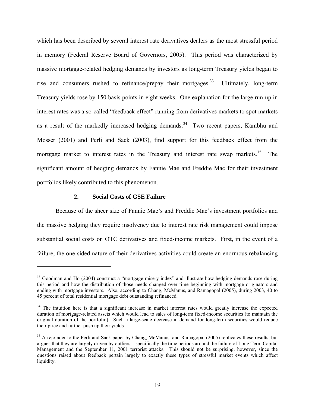which has been described by several interest rate derivatives dealers as the most stressful period in memory (Federal Reserve Board of Governors, 2005). This period was characterized by massive mortgage-related hedging demands by investors as long-term Treasury yields began to rise and consumers rushed to refinance/prepay their mortgages.<sup>33</sup> Ultimately, long-term Treasury yields rose by 150 basis points in eight weeks. One explanation for the large run-up in interest rates was a so-called "feedback effect" running from derivatives markets to spot markets as a result of the markedly increased hedging demands.<sup>34</sup> Two recent papers, Kambhu and Mosser (2001) and Perli and Sack (2003), find support for this feedback effect from the mortgage market to interest rates in the Treasury and interest rate swap markets.<sup>35</sup> The significant amount of hedging demands by Fannie Mae and Freddie Mac for their investment portfolios likely contributed to this phenomenon.

### **2. Social Costs of GSE Failure**

 $\overline{a}$ 

Because of the sheer size of Fannie Mae's and Freddie Mac's investment portfolios and the massive hedging they require insolvency due to interest rate risk management could impose substantial social costs on OTC derivatives and fixed-income markets. First, in the event of a failure, the one-sided nature of their derivatives activities could create an enormous rebalancing

<sup>&</sup>lt;sup>33</sup> Goodman and Ho (2004) construct a "mortgage misery index" and illustrate how hedging demands rose during this period and how the distribution of those needs changed over time beginning with mortgage originators and ending with mortgage investors. Also, according to Chang, McManus, and Ramagopal (2005), during 2003, 40 to 45 percent of total residential mortgage debt outstanding refinanced.

<sup>&</sup>lt;sup>34</sup> The intuition here is that a significant increase in market interest rates would greatly increase the expected duration of mortgage-related assets which would lead to sales of long-term fixed-income securities (to maintain the original duration of the portfolio). Such a large-scale decrease in demand for long-term securities would reduce their price and further push up their yields.

<sup>&</sup>lt;sup>35</sup> A rejoinder to the Perli and Sack paper by Chang, McManus, and Ramagopal (2005) replicates these results, but argues that they are largely driven by outliers – specifically the time periods around the failure of Long Term Capital Management and the September 11, 2001 terrorist attacks. This should not be surprising, however, since the questions raised about feedback pertain largely to exactly these types of stressful market events which affect liquidity.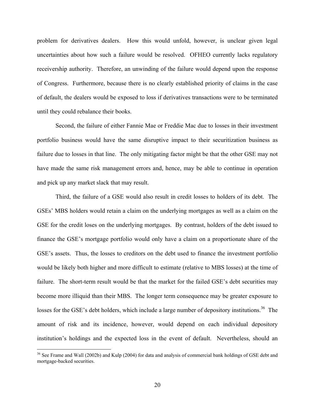problem for derivatives dealers. How this would unfold, however, is unclear given legal uncertainties about how such a failure would be resolved. OFHEO currently lacks regulatory receivership authority. Therefore, an unwinding of the failure would depend upon the response of Congress. Furthermore, because there is no clearly established priority of claims in the case of default, the dealers would be exposed to loss if derivatives transactions were to be terminated until they could rebalance their books.

Second, the failure of either Fannie Mae or Freddie Mac due to losses in their investment portfolio business would have the same disruptive impact to their securitization business as failure due to losses in that line. The only mitigating factor might be that the other GSE may not have made the same risk management errors and, hence, may be able to continue in operation and pick up any market slack that may result.

Third, the failure of a GSE would also result in credit losses to holders of its debt. The GSEs' MBS holders would retain a claim on the underlying mortgages as well as a claim on the GSE for the credit loses on the underlying mortgages. By contrast, holders of the debt issued to finance the GSE's mortgage portfolio would only have a claim on a proportionate share of the GSE's assets. Thus, the losses to creditors on the debt used to finance the investment portfolio would be likely both higher and more difficult to estimate (relative to MBS losses) at the time of failure. The short-term result would be that the market for the failed GSE's debt securities may become more illiquid than their MBS. The longer term consequence may be greater exposure to losses for the GSE's debt holders, which include a large number of depository institutions.<sup>36</sup> The amount of risk and its incidence, however, would depend on each individual depository institution's holdings and the expected loss in the event of default. Nevertheless, should an

<sup>&</sup>lt;sup>36</sup> See Frame and Wall (2002b) and Kulp (2004) for data and analysis of commercial bank holdings of GSE debt and mortgage-backed securities.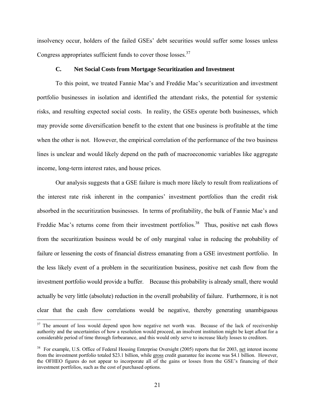insolvency occur, holders of the failed GSEs' debt securities would suffer some losses unless Congress appropriates sufficient funds to cover those losses.<sup>37</sup>

### **C. Net Social Costs from Mortgage Securitization and Investment**

To this point, we treated Fannie Mae's and Freddie Mac's securitization and investment portfolio businesses in isolation and identified the attendant risks, the potential for systemic risks, and resulting expected social costs. In reality, the GSEs operate both businesses, which may provide some diversification benefit to the extent that one business is profitable at the time when the other is not. However, the empirical correlation of the performance of the two business lines is unclear and would likely depend on the path of macroeconomic variables like aggregate income, long-term interest rates, and house prices.

Our analysis suggests that a GSE failure is much more likely to result from realizations of the interest rate risk inherent in the companies' investment portfolios than the credit risk absorbed in the securitization businesses. In terms of profitability, the bulk of Fannie Mae's and Freddie Mac's returns come from their investment portfolios.<sup>38</sup> Thus, positive net cash flows from the securitization business would be of only marginal value in reducing the probability of failure or lessening the costs of financial distress emanating from a GSE investment portfolio. In the less likely event of a problem in the securitization business, positive net cash flow from the investment portfolio would provide a buffer. Because this probability is already small, there would actually be very little (absolute) reduction in the overall probability of failure. Furthermore, it is not clear that the cash flow correlations would be negative, thereby generating unambiguous

<sup>&</sup>lt;sup>37</sup> The amount of loss would depend upon how negative net worth was. Because of the lack of receivership authority and the uncertainties of how a resolution would proceed, an insolvent institution might be kept afloat for a considerable period of time through forbearance, and this would only serve to increase likely losses to creditors.

<sup>&</sup>lt;sup>38</sup> For example, U.S. Office of Federal Housing Enterprise Oversight (2005) reports that for 2003, net interest income from the investment portfolio totaled \$23.1 billion, while gross credit guarantee fee income was \$4.1 billion. However, the OFHEO figures do not appear to incorporate all of the gains or losses from the GSE's financing of their investment portfolios, such as the cost of purchased options.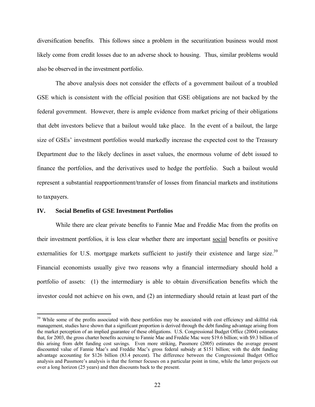diversification benefits. This follows since a problem in the securitization business would most likely come from credit losses due to an adverse shock to housing. Thus, similar problems would also be observed in the investment portfolio.

 The above analysis does not consider the effects of a government bailout of a troubled GSE which is consistent with the official position that GSE obligations are not backed by the federal government. However, there is ample evidence from market pricing of their obligations that debt investors believe that a bailout would take place. In the event of a bailout, the large size of GSEs' investment portfolios would markedly increase the expected cost to the Treasury Department due to the likely declines in asset values, the enormous volume of debt issued to finance the portfolios, and the derivatives used to hedge the portfolio. Such a bailout would represent a substantial reapportionment/transfer of losses from financial markets and institutions to taxpayers.

### **IV. Social Benefits of GSE Investment Portfolios**

 $\overline{a}$ 

 While there are clear private benefits to Fannie Mae and Freddie Mac from the profits on their investment portfolios, it is less clear whether there are important social benefits or positive externalities for U.S. mortgage markets sufficient to justify their existence and large size.<sup>39</sup> Financial economists usually give two reasons why a financial intermediary should hold a portfolio of assets: (1) the intermediary is able to obtain diversification benefits which the investor could not achieve on his own, and (2) an intermediary should retain at least part of the

<sup>&</sup>lt;sup>39</sup> While some of the profits associated with these portfolios may be associated with cost efficiency and skillful risk management, studies have shown that a significant proportion is derived through the debt funding advantage arising from the market perception of an implied guarantee of these obligations. U.S. Congressional Budget Office (2004) estimates that, for 2003, the gross charter benefits accruing to Fannie Mae and Freddie Mac were \$19.6 billion; with \$9.3 billion of this arising from debt funding cost savings. Even more striking, Passmore (2005) estimates the average present discounted value of Fannie Mae's and Freddie Mac's gross federal subsidy at \$151 billion; with the debt funding advantage accounting for \$126 billion (83.4 percent). The difference between the Congressional Budget Office analysis and Passmore's analysis is that the former focuses on a particular point in time, while the latter projects out over a long horizon (25 years) and then discounts back to the present.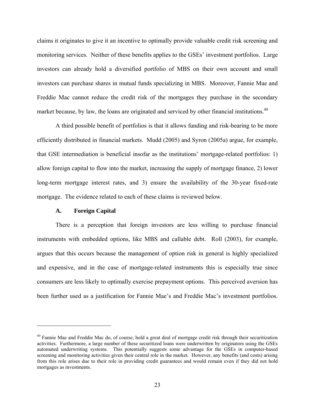claims it originates to give it an incentive to optimally provide valuable credit risk screening and monitoring services. Neither of these benefits applies to the GSEs' investment portfolios. Large investors can already hold a diversified portfolio of MBS on their own account and small investors can purchase shares in mutual funds specializing in MBS. Moreover, Fannie Mae and Freddie Mac cannot reduce the credit risk of the mortgages they purchase in the secondary market because, by law, the loans are originated and serviced by other financial institutions.<sup>40</sup>

A third possible benefit of portfolios is that it allows funding and risk-bearing to be more efficiently distributed in financial markets. Mudd (2005) and Syron (2005a) argue, for example, that GSE intermediation is beneficial insofar as the institutions' mortgage-related portfolios: 1) allow foreign capital to flow into the market, increasing the supply of mortgage finance, 2) lower long-term mortgage interest rates, and 3) ensure the availability of the 30-year fixed-rate mortgage. The evidence related to each of these claims is reviewed below.

### **A. Foreign Capital**

 $\overline{a}$ 

 There is a perception that foreign investors are less willing to purchase financial instruments with embedded options, like MBS and callable debt. Roll (2003), for example, argues that this occurs because the management of option risk in general is highly specialized and expensive, and in the case of mortgage-related instruments this is especially true since consumers are less likely to optimally exercise prepayment options. This perceived aversion has been further used as a justification for Fannie Mae's and Freddie Mac's investment portfolios.

<sup>40</sup> Fannie Mae and Freddie Mac do, of course, hold a great deal of mortgage credit risk through their securitization activities. Furthermore, a large number of these securitized loans were underwritten by originators using the GSEs automated underwriting systems. This potentially suggests some advantage for the GSEs in computer-based screening and monitoring activities given their central role in the market. However, any benefits (and costs) arising from this role arises due to their role in providing credit guarantees and would remain even if they did not hold mortgages as investments.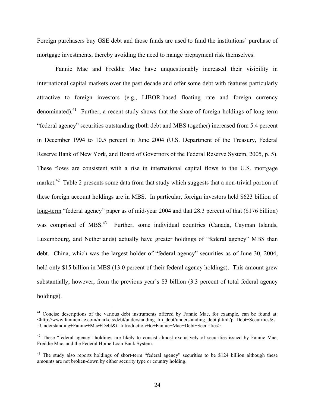Foreign purchasers buy GSE debt and those funds are used to fund the institutions' purchase of mortgage investments, thereby avoiding the need to mange prepayment risk themselves.

 Fannie Mae and Freddie Mac have unquestionably increased their visibility in international capital markets over the past decade and offer some debt with features particularly attractive to foreign investors (e.g., LIBOR-based floating rate and foreign currency denominated).<sup>41</sup> Further, a recent study shows that the share of foreign holdings of long-term "federal agency" securities outstanding (both debt and MBS together) increased from 5.4 percent in December 1994 to 10.5 percent in June 2004 (U.S. Department of the Treasury, Federal Reserve Bank of New York, and Board of Governors of the Federal Reserve System, 2005, p. 5). These flows are consistent with a rise in international capital flows to the U.S. mortgage market.<sup>42</sup> Table 2 presents some data from that study which suggests that a non-trivial portion of these foreign account holdings are in MBS. In particular, foreign investors held \$623 billion of long-term "federal agency" paper as of mid-year 2004 and that 28.3 percent of that (\$176 billion) was comprised of MBS.<sup>43</sup> Further, some individual countries (Canada, Cayman Islands, Luxembourg, and Netherlands) actually have greater holdings of "federal agency" MBS than debt. China, which was the largest holder of "federal agency" securities as of June 30, 2004, held only \$15 billion in MBS (13.0 percent of their federal agency holdings). This amount grew substantially, however, from the previous year's \$3 billion (3.3 percent of total federal agency holdings).

<sup>&</sup>lt;sup>41</sup> Concise descriptions of the various debt instruments offered by Fannie Mae, for example, can be found at: <http://www.fanniemae.com/markets/debt/understanding\_fm\_debt/understanding\_debt.jhtml?p=Debt+Securities&s =Understanding+Fannie+Mae+Debt&t=Introduction+to+Fannie+Mae+Debt+Securities>.

 $42$  These "federal agency" holdings are likely to consist almost exclusively of securities issued by Fannie Mae, Freddie Mac, and the Federal Home Loan Bank System.

 $43$  The study also reports holdings of short-term "federal agency" securities to be \$124 billion although these amounts are not broken-down by either security type or country holding.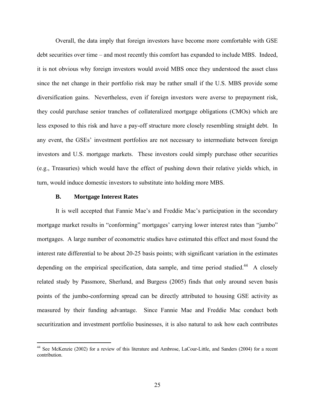Overall, the data imply that foreign investors have become more comfortable with GSE debt securities over time – and most recently this comfort has expanded to include MBS. Indeed, it is not obvious why foreign investors would avoid MBS once they understood the asset class since the net change in their portfolio risk may be rather small if the U.S. MBS provide some diversification gains. Nevertheless, even if foreign investors were averse to prepayment risk, they could purchase senior tranches of collateralized mortgage obligations (CMOs) which are less exposed to this risk and have a pay-off structure more closely resembling straight debt. In any event, the GSEs' investment portfolios are not necessary to intermediate between foreign investors and U.S. mortgage markets. These investors could simply purchase other securities (e.g., Treasuries) which would have the effect of pushing down their relative yields which, in turn, would induce domestic investors to substitute into holding more MBS.

### **B. Mortgage Interest Rates**

 $\overline{a}$ 

It is well accepted that Fannie Mae's and Freddie Mac's participation in the secondary mortgage market results in "conforming" mortgages' carrying lower interest rates than "jumbo" mortgages. A large number of econometric studies have estimated this effect and most found the interest rate differential to be about 20-25 basis points; with significant variation in the estimates depending on the empirical specification, data sample, and time period studied.<sup>44</sup> A closely related study by Passmore, Sherlund, and Burgess (2005) finds that only around seven basis points of the jumbo-conforming spread can be directly attributed to housing GSE activity as measured by their funding advantage. Since Fannie Mae and Freddie Mac conduct both securitization and investment portfolio businesses, it is also natural to ask how each contributes

<sup>&</sup>lt;sup>44</sup> See McKenzie (2002) for a review of this literature and Ambrose, LaCour-Little, and Sanders (2004) for a recent contribution.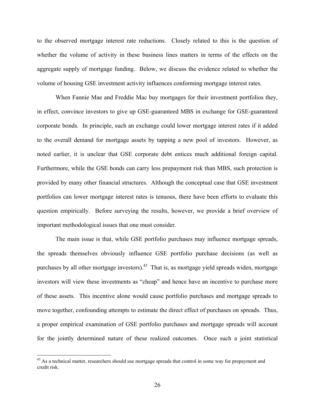to the observed mortgage interest rate reductions. Closely related to this is the question of whether the volume of activity in these business lines matters in terms of the effects on the aggregate supply of mortgage funding. Below, we discuss the evidence related to whether the volume of housing GSE investment activity influences conforming mortgage interest rates.

When Fannie Mae and Freddie Mac buy mortgages for their investment portfolios they, in effect, convince investors to give up GSE-guaranteed MBS in exchange for GSE-guaranteed corporate bonds. In principle, such an exchange could lower mortgage interest rates if it added to the overall demand for mortgage assets by tapping a new pool of investors. However, as noted earlier, it is unclear that GSE corporate debt entices much additional foreign capital. Furthermore, while the GSE bonds can carry less prepayment risk than MBS, such protection is provided by many other financial structures. Although the conceptual case that GSE investment portfolios can lower mortgage interest rates is tenuous, there have been efforts to evaluate this question empirically. Before surveying the results, however, we provide a brief overview of important methodological issues that one must consider.

The main issue is that, while GSE portfolio purchases may influence mortgage spreads, the spreads themselves obviously influence GSE portfolio purchase decisions (as well as purchases by all other mortgage investors).<sup>45</sup> That is, as mortgage yield spreads widen, mortgage investors will view these investments as "cheap" and hence have an incentive to purchase more of these assets. This incentive alone would cause portfolio purchases and mortgage spreads to move together, confounding attempts to estimate the direct effect of purchases on spreads. Thus, a proper empirical examination of GSE portfolio purchases and mortgage spreads will account for the jointly determined nature of these realized outcomes. Once such a joint statistical

<sup>&</sup>lt;sup>45</sup> As a technical matter, researchers should use mortgage spreads that control in some way for prepayment and credit risk.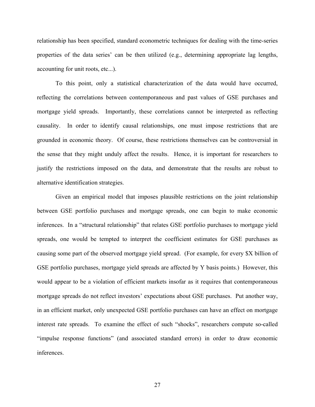relationship has been specified, standard econometric techniques for dealing with the time-series properties of the data series' can be then utilized (e.g., determining appropriate lag lengths, accounting for unit roots, etc...).

To this point, only a statistical characterization of the data would have occurred, reflecting the correlations between contemporaneous and past values of GSE purchases and mortgage yield spreads. Importantly, these correlations cannot be interpreted as reflecting causality. In order to identify causal relationships, one must impose restrictions that are grounded in economic theory. Of course, these restrictions themselves can be controversial in the sense that they might unduly affect the results. Hence, it is important for researchers to justify the restrictions imposed on the data, and demonstrate that the results are robust to alternative identification strategies.

Given an empirical model that imposes plausible restrictions on the joint relationship between GSE portfolio purchases and mortgage spreads, one can begin to make economic inferences. In a "structural relationship" that relates GSE portfolio purchases to mortgage yield spreads, one would be tempted to interpret the coefficient estimates for GSE purchases as causing some part of the observed mortgage yield spread. (For example, for every \$X billion of GSE portfolio purchases, mortgage yield spreads are affected by Y basis points.) However, this would appear to be a violation of efficient markets insofar as it requires that contemporaneous mortgage spreads do not reflect investors' expectations about GSE purchases. Put another way, in an efficient market, only unexpected GSE portfolio purchases can have an effect on mortgage interest rate spreads. To examine the effect of such "shocks", researchers compute so-called "impulse response functions" (and associated standard errors) in order to draw economic inferences.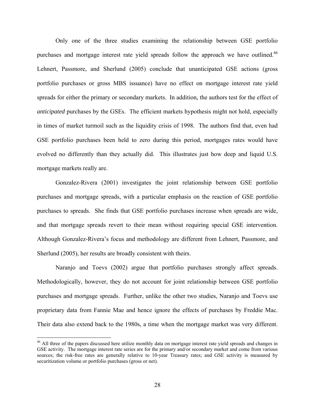Only one of the three studies examining the relationship between GSE portfolio purchases and mortgage interest rate yield spreads follow the approach we have outlined.<sup>46</sup> Lehnert, Passmore, and Sherlund (2005) conclude that unanticipated GSE actions (gross portfolio purchases or gross MBS issuance) have no effect on mortgage interest rate yield spreads for either the primary or secondary markets. In addition, the authors test for the effect of *anticipated* purchases by the GSEs. The efficient markets hypothesis might not hold, especially in times of market turmoil such as the liquidity crisis of 1998. The authors find that, even had GSE portfolio purchases been held to zero during this period, mortgages rates would have evolved no differently than they actually did. This illustrates just how deep and liquid U.S. mortgage markets really are.

Gonzalez-Rivera (2001) investigates the joint relationship between GSE portfolio purchases and mortgage spreads, with a particular emphasis on the reaction of GSE portfolio purchases to spreads. She finds that GSE portfolio purchases increase when spreads are wide, and that mortgage spreads revert to their mean without requiring special GSE intervention. Although Gonzalez-Rivera's focus and methodology are different from Lehnert, Passmore, and Sherlund (2005), her results are broadly consistent with theirs.

Naranjo and Toevs (2002) argue that portfolio purchases strongly affect spreads. Methodologically, however, they do not account for joint relationship between GSE portfolio purchases and mortgage spreads. Further, unlike the other two studies, Naranjo and Toevs use proprietary data from Fannie Mae and hence ignore the effects of purchases by Freddie Mac. Their data also extend back to the 1980s, a time when the mortgage market was very different.

<sup>&</sup>lt;sup>46</sup> All three of the papers discussed here utilize monthly data on mortgage interest rate yield spreads and changes in GSE activity. The mortgage interest rate series are for the primary and/or secondary market and come from various sources; the risk-free rates are generally relative to 10-year Treasury rates; and GSE activity is measured by securitization volume or portfolio purchases (gross or net).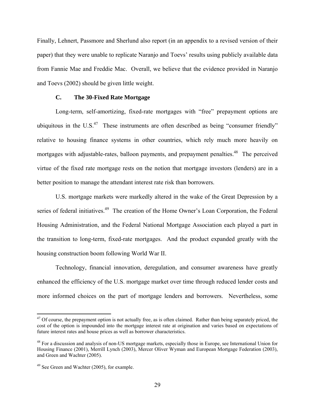Finally, Lehnert, Passmore and Sherlund also report (in an appendix to a revised version of their paper) that they were unable to replicate Naranjo and Toevs' results using publicly available data from Fannie Mae and Freddie Mac. Overall, we believe that the evidence provided in Naranjo and Toevs (2002) should be given little weight.

### **C. The 30-Fixed Rate Mortgage**

Long-term, self-amortizing, fixed-rate mortgages with "free" prepayment options are ubiquitous in the U.S. $47$  These instruments are often described as being "consumer friendly" relative to housing finance systems in other countries, which rely much more heavily on mortgages with adjustable-rates, balloon payments, and prepayment penalties.<sup>48</sup> The perceived virtue of the fixed rate mortgage rests on the notion that mortgage investors (lenders) are in a better position to manage the attendant interest rate risk than borrowers.

U.S. mortgage markets were markedly altered in the wake of the Great Depression by a series of federal initiatives.<sup>49</sup> The creation of the Home Owner's Loan Corporation, the Federal Housing Administration, and the Federal National Mortgage Association each played a part in the transition to long-term, fixed-rate mortgages. And the product expanded greatly with the housing construction boom following World War II.

Technology, financial innovation, deregulation, and consumer awareness have greatly enhanced the efficiency of the U.S. mortgage market over time through reduced lender costs and more informed choices on the part of mortgage lenders and borrowers. Nevertheless, some

 $47$  Of course, the prepayment option is not actually free, as is often claimed. Rather than being separately priced, the cost of the option is impounded into the mortgage interest rate at origination and varies based on expectations of future interest rates and house prices as well as borrower characteristics.

<sup>&</sup>lt;sup>48</sup> For a discussion and analysis of non-US mortgage markets, especially those in Europe, see International Union for Housing Finance (2001), Merrill Lynch (2003), Mercer Oliver Wyman and European Mortgage Federation (2003), and Green and Wachter (2005).

<sup>&</sup>lt;sup>49</sup> See Green and Wachter (2005), for example.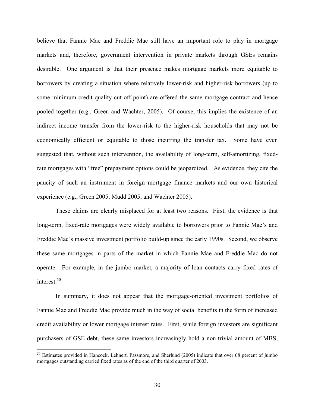believe that Fannie Mae and Freddie Mac still have an important role to play in mortgage markets and, therefore, government intervention in private markets through GSEs remains desirable. One argument is that their presence makes mortgage markets more equitable to borrowers by creating a situation where relatively lower-risk and higher-risk borrowers (up to some minimum credit quality cut-off point) are offered the same mortgage contract and hence pooled together (e.g., Green and Wachter, 2005). Of course, this implies the existence of an indirect income transfer from the lower-risk to the higher-risk households that may not be economically efficient or equitable to those incurring the transfer tax. Some have even suggested that, without such intervention, the availability of long-term, self-amortizing, fixedrate mortgages with "free" prepayment options could be jeopardized. As evidence, they cite the paucity of such an instrument in foreign mortgage finance markets and our own historical experience (e.g., Green 2005; Mudd 2005; and Wachter 2005).

These claims are clearly misplaced for at least two reasons. First, the evidence is that long-term, fixed-rate mortgages were widely available to borrowers prior to Fannie Mae's and Freddie Mac's massive investment portfolio build-up since the early 1990s. Second, we observe these same mortgages in parts of the market in which Fannie Mae and Freddie Mac do not operate. For example, in the jumbo market, a majority of loan contacts carry fixed rates of interest.<sup>50</sup>

 In summary, it does not appear that the mortgage-oriented investment portfolios of Fannie Mae and Freddie Mac provide much in the way of social benefits in the form of increased credit availability or lower mortgage interest rates. First, while foreign investors are significant purchasers of GSE debt, these same investors increasingly hold a non-trivial amount of MBS,

 $50$  Estimates provided in Hancock, Lehnert, Passmore, and Sherlund (2005) indicate that over 68 percent of jumbo mortgages outstanding carried fixed rates as of the end of the third quarter of 2003.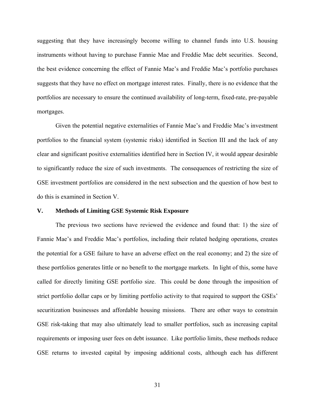suggesting that they have increasingly become willing to channel funds into U.S. housing instruments without having to purchase Fannie Mae and Freddie Mac debt securities. Second, the best evidence concerning the effect of Fannie Mae's and Freddie Mac's portfolio purchases suggests that they have no effect on mortgage interest rates. Finally, there is no evidence that the portfolios are necessary to ensure the continued availability of long-term, fixed-rate, pre-payable mortgages.

 Given the potential negative externalities of Fannie Mae's and Freddie Mac's investment portfolios to the financial system (systemic risks) identified in Section III and the lack of any clear and significant positive externalities identified here in Section IV, it would appear desirable to significantly reduce the size of such investments. The consequences of restricting the size of GSE investment portfolios are considered in the next subsection and the question of how best to do this is examined in Section V.

### **V. Methods of Limiting GSE Systemic Risk Exposure**

 The previous two sections have reviewed the evidence and found that: 1) the size of Fannie Mae's and Freddie Mac's portfolios, including their related hedging operations, creates the potential for a GSE failure to have an adverse effect on the real economy; and 2) the size of these portfolios generates little or no benefit to the mortgage markets. In light of this, some have called for directly limiting GSE portfolio size. This could be done through the imposition of strict portfolio dollar caps or by limiting portfolio activity to that required to support the GSEs' securitization businesses and affordable housing missions. There are other ways to constrain GSE risk-taking that may also ultimately lead to smaller portfolios, such as increasing capital requirements or imposing user fees on debt issuance. Like portfolio limits, these methods reduce GSE returns to invested capital by imposing additional costs, although each has different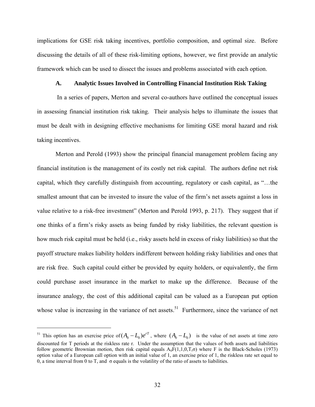implications for GSE risk taking incentives, portfolio composition, and optimal size. Before discussing the details of all of these risk-limiting options, however, we first provide an analytic framework which can be used to dissect the issues and problems associated with each option.

### **A. Analytic Issues Involved in Controlling Financial Institution Risk Taking**

In a series of papers, Merton and several co-authors have outlined the conceptual issues in assessing financial institution risk taking. Their analysis helps to illuminate the issues that must be dealt with in designing effective mechanisms for limiting GSE moral hazard and risk taking incentives.

Merton and Perold (1993) show the principal financial management problem facing any financial institution is the management of its costly net risk capital. The authors define net risk capital, which they carefully distinguish from accounting, regulatory or cash capital, as "…the smallest amount that can be invested to insure the value of the firm's net assets against a loss in value relative to a risk-free investment" (Merton and Perold 1993, p. 217). They suggest that if one thinks of a firm's risky assets as being funded by risky liabilities, the relevant question is how much risk capital must be held (i.e., risky assets held in excess of risky liabilities) so that the payoff structure makes liability holders indifferent between holding risky liabilities and ones that are risk free. Such capital could either be provided by equity holders, or equivalently, the firm could purchase asset insurance in the market to make up the difference. Because of the insurance analogy, the cost of this additional capital can be valued as a European put option whose value is increasing in the variance of net assets.<sup>51</sup> Furthermore, since the variance of net

<sup>&</sup>lt;sup>51</sup> This option has an exercise price of  $(A_0 - L_0)e^{rT}$ , where  $(A_0 - L_0)$  is the value of net assets at time zero discounted for T periods at the riskless rate r. Under the assumption that the values of both assets and liabilities follow geometric Brownian motion, then risk capital equals  $A_0F(1,1,0,T,\sigma)$  where F is the Black-Scholes (1973) option value of a European call option with an initial value of 1, an exercise price of 1, the riskless rate set equal to 0, a time interval from 0 to T, and  $\sigma$  equals is the volatility of the ratio of assets to liabilities.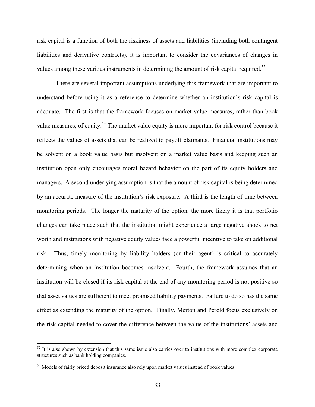risk capital is a function of both the riskiness of assets and liabilities (including both contingent liabilities and derivative contracts), it is important to consider the covariances of changes in values among these various instruments in determining the amount of risk capital required.<sup>52</sup>

There are several important assumptions underlying this framework that are important to understand before using it as a reference to determine whether an institution's risk capital is adequate. The first is that the framework focuses on market value measures, rather than book value measures, of equity.<sup>53</sup> The market value equity is more important for risk control because it reflects the values of assets that can be realized to payoff claimants. Financial institutions may be solvent on a book value basis but insolvent on a market value basis and keeping such an institution open only encourages moral hazard behavior on the part of its equity holders and managers. A second underlying assumption is that the amount of risk capital is being determined by an accurate measure of the institution's risk exposure. A third is the length of time between monitoring periods. The longer the maturity of the option, the more likely it is that portfolio changes can take place such that the institution might experience a large negative shock to net worth and institutions with negative equity values face a powerful incentive to take on additional risk. Thus, timely monitoring by liability holders (or their agent) is critical to accurately determining when an institution becomes insolvent. Fourth, the framework assumes that an institution will be closed if its risk capital at the end of any monitoring period is not positive so that asset values are sufficient to meet promised liability payments. Failure to do so has the same effect as extending the maturity of the option. Finally, Merton and Perold focus exclusively on the risk capital needed to cover the difference between the value of the institutions' assets and

 $52$  It is also shown by extension that this same issue also carries over to institutions with more complex corporate structures such as bank holding companies.

<sup>&</sup>lt;sup>53</sup> Models of fairly priced deposit insurance also rely upon market values instead of book values.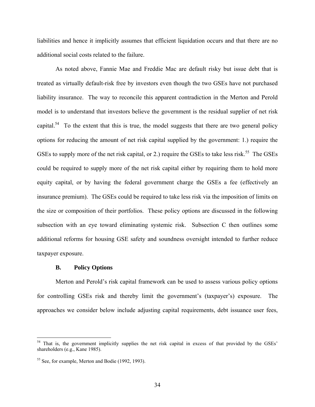liabilities and hence it implicitly assumes that efficient liquidation occurs and that there are no additional social costs related to the failure.

As noted above, Fannie Mae and Freddie Mac are default risky but issue debt that is treated as virtually default-risk free by investors even though the two GSEs have not purchased liability insurance. The way to reconcile this apparent contradiction in the Merton and Perold model is to understand that investors believe the government is the residual supplier of net risk capital.<sup>54</sup> To the extent that this is true, the model suggests that there are two general policy options for reducing the amount of net risk capital supplied by the government: 1.) require the GSEs to supply more of the net risk capital, or 2.) require the GSEs to take less risk.<sup>55</sup> The GSEs could be required to supply more of the net risk capital either by requiring them to hold more equity capital, or by having the federal government charge the GSEs a fee (effectively an insurance premium). The GSEs could be required to take less risk via the imposition of limits on the size or composition of their portfolios. These policy options are discussed in the following subsection with an eye toward eliminating systemic risk. Subsection C then outlines some additional reforms for housing GSE safety and soundness oversight intended to further reduce taxpayer exposure.

### **B. Policy Options**

Merton and Perold's risk capital framework can be used to assess various policy options for controlling GSEs risk and thereby limit the government's (taxpayer's) exposure. The approaches we consider below include adjusting capital requirements, debt issuance user fees,

<sup>&</sup>lt;sup>54</sup> That is, the government implicitly supplies the net risk capital in excess of that provided by the GSEs' shareholders (e.g., Kane 1985).

<sup>&</sup>lt;sup>55</sup> See, for example, Merton and Bodie (1992, 1993).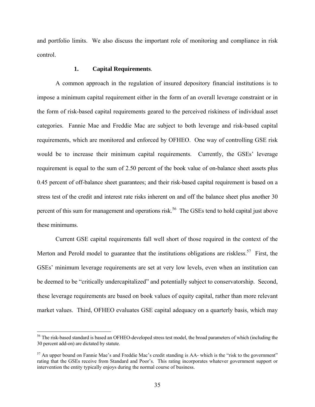and portfolio limits. We also discuss the important role of monitoring and compliance in risk control.

### **1. Capital Requirements**.

A common approach in the regulation of insured depository financial institutions is to impose a minimum capital requirement either in the form of an overall leverage constraint or in the form of risk-based capital requirements geared to the perceived riskiness of individual asset categories. Fannie Mae and Freddie Mac are subject to both leverage and risk-based capital requirements, which are monitored and enforced by OFHEO. One way of controlling GSE risk would be to increase their minimum capital requirements. Currently, the GSEs' leverage requirement is equal to the sum of 2.50 percent of the book value of on-balance sheet assets plus 0.45 percent of off-balance sheet guarantees; and their risk-based capital requirement is based on a stress test of the credit and interest rate risks inherent on and off the balance sheet plus another 30 percent of this sum for management and operations risk.<sup>56</sup> The GSEs tend to hold capital just above these minimums.

Current GSE capital requirements fall well short of those required in the context of the Merton and Perold model to guarantee that the institutions obligations are riskless.<sup>57</sup> First, the GSEs' minimum leverage requirements are set at very low levels, even when an institution can be deemed to be "critically undercapitalized" and potentially subject to conservatorship. Second, these leverage requirements are based on book values of equity capital, rather than more relevant market values. Third, OFHEO evaluates GSE capital adequacy on a quarterly basis, which may

<sup>&</sup>lt;sup>56</sup> The risk-based standard is based an OFHEO-developed stress test model, the broad parameters of which (including the 30 percent add-on) are dictated by statute.

 $57$  An upper bound on Fannie Mae's and Freddie Mac's credit standing is AA- which is the "risk to the government" rating that the GSEs receive from Standard and Poor's. This rating incorporates whatever government support or intervention the entity typically enjoys during the normal course of business.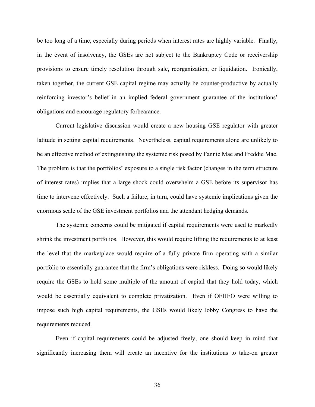be too long of a time, especially during periods when interest rates are highly variable. Finally, in the event of insolvency, the GSEs are not subject to the Bankruptcy Code or receivership provisions to ensure timely resolution through sale, reorganization, or liquidation. Ironically, taken together, the current GSE capital regime may actually be counter-productive by actually reinforcing investor's belief in an implied federal government guarantee of the institutions' obligations and encourage regulatory forbearance.

Current legislative discussion would create a new housing GSE regulator with greater latitude in setting capital requirements. Nevertheless, capital requirements alone are unlikely to be an effective method of extinguishing the systemic risk posed by Fannie Mae and Freddie Mac. The problem is that the portfolios' exposure to a single risk factor (changes in the term structure of interest rates) implies that a large shock could overwhelm a GSE before its supervisor has time to intervene effectively. Such a failure, in turn, could have systemic implications given the enormous scale of the GSE investment portfolios and the attendant hedging demands.

The systemic concerns could be mitigated if capital requirements were used to markedly shrink the investment portfolios. However, this would require lifting the requirements to at least the level that the marketplace would require of a fully private firm operating with a similar portfolio to essentially guarantee that the firm's obligations were riskless. Doing so would likely require the GSEs to hold some multiple of the amount of capital that they hold today, which would be essentially equivalent to complete privatization. Even if OFHEO were willing to impose such high capital requirements, the GSEs would likely lobby Congress to have the requirements reduced.

Even if capital requirements could be adjusted freely, one should keep in mind that significantly increasing them will create an incentive for the institutions to take-on greater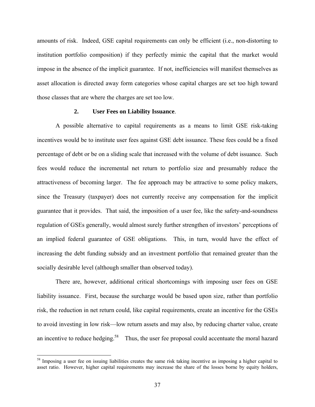amounts of risk. Indeed, GSE capital requirements can only be efficient (i.e., non-distorting to institution portfolio composition) if they perfectly mimic the capital that the market would impose in the absence of the implicit guarantee. If not, inefficiencies will manifest themselves as asset allocation is directed away form categories whose capital charges are set too high toward those classes that are where the charges are set too low.

### **2. User Fees on Liability Issuance**.

A possible alternative to capital requirements as a means to limit GSE risk-taking incentives would be to institute user fees against GSE debt issuance. These fees could be a fixed percentage of debt or be on a sliding scale that increased with the volume of debt issuance*.* Such fees would reduce the incremental net return to portfolio size and presumably reduce the attractiveness of becoming larger. The fee approach may be attractive to some policy makers, since the Treasury (taxpayer) does not currently receive any compensation for the implicit guarantee that it provides. That said, the imposition of a user fee, like the safety-and-soundness regulation of GSEs generally, would almost surely further strengthen of investors' perceptions of an implied federal guarantee of GSE obligations. This, in turn, would have the effect of increasing the debt funding subsidy and an investment portfolio that remained greater than the socially desirable level (although smaller than observed today).

There are, however, additional critical shortcomings with imposing user fees on GSE liability issuance. First, because the surcharge would be based upon size, rather than portfolio risk, the reduction in net return could, like capital requirements, create an incentive for the GSEs to avoid investing in low risk—low return assets and may also, by reducing charter value, create an incentive to reduce hedging.<sup>58</sup> Thus, the user fee proposal could accentuate the moral hazard

<sup>&</sup>lt;sup>58</sup> Imposing a user fee on issuing liabilities creates the same risk taking incentive as imposing a higher capital to asset ratio. However, higher capital requirements may increase the share of the losses borne by equity holders,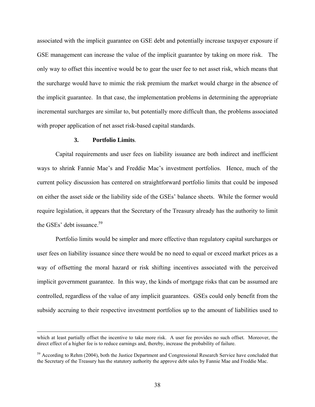associated with the implicit guarantee on GSE debt and potentially increase taxpayer exposure if GSE management can increase the value of the implicit guarantee by taking on more risk. The only way to offset this incentive would be to gear the user fee to net asset risk, which means that the surcharge would have to mimic the risk premium the market would charge in the absence of the implicit guarantee. In that case, the implementation problems in determining the appropriate incremental surcharges are similar to, but potentially more difficult than, the problems associated with proper application of net asset risk-based capital standards.

### **3. Portfolio Limits**.

Capital requirements and user fees on liability issuance are both indirect and inefficient ways to shrink Fannie Mae's and Freddie Mac's investment portfolios. Hence, much of the current policy discussion has centered on straightforward portfolio limits that could be imposed on either the asset side or the liability side of the GSEs' balance sheets. While the former would require legislation, it appears that the Secretary of the Treasury already has the authority to limit the GSEs' debt issuance.<sup>59</sup>

Portfolio limits would be simpler and more effective than regulatory capital surcharges or user fees on liability issuance since there would be no need to equal or exceed market prices as a way of offsetting the moral hazard or risk shifting incentives associated with the perceived implicit government guarantee. In this way, the kinds of mortgage risks that can be assumed are controlled, regardless of the value of any implicit guarantees. GSEs could only benefit from the subsidy accruing to their respective investment portfolios up to the amount of liabilities used to

which at least partially offset the incentive to take more risk. A user fee provides no such offset. Moreover, the direct effect of a higher fee is to reduce earnings and, thereby, increase the probability of failure.

<sup>&</sup>lt;sup>59</sup> According to Rehm (2004), both the Justice Department and Congressional Research Service have concluded that the Secretary of the Treasury has the statutory authority the approve debt sales by Fannie Mae and Freddie Mac.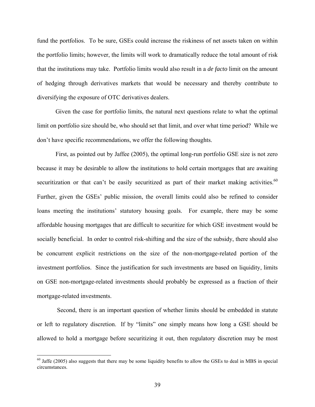fund the portfolios. To be sure, GSEs could increase the riskiness of net assets taken on within the portfolio limits; however, the limits will work to dramatically reduce the total amount of risk that the institutions may take. Portfolio limits would also result in a *de facto* limit on the amount of hedging through derivatives markets that would be necessary and thereby contribute to diversifying the exposure of OTC derivatives dealers.

Given the case for portfolio limits, the natural next questions relate to what the optimal limit on portfolio size should be, who should set that limit, and over what time period? While we don't have specific recommendations, we offer the following thoughts.

First, as pointed out by Jaffee (2005), the optimal long-run portfolio GSE size is not zero because it may be desirable to allow the institutions to hold certain mortgages that are awaiting securitization or that can't be easily securitized as part of their market making activities.<sup>60</sup> Further, given the GSEs' public mission, the overall limits could also be refined to consider loans meeting the institutions' statutory housing goals. For example, there may be some affordable housing mortgages that are difficult to securitize for which GSE investment would be socially beneficial. In order to control risk-shifting and the size of the subsidy, there should also be concurrent explicit restrictions on the size of the non-mortgage-related portion of the investment portfolios. Since the justification for such investments are based on liquidity, limits on GSE non-mortgage-related investments should probably be expressed as a fraction of their mortgage-related investments.

 Second, there is an important question of whether limits should be embedded in statute or left to regulatory discretion. If by "limits" one simply means how long a GSE should be allowed to hold a mortgage before securitizing it out, then regulatory discretion may be most

 $60$  Jaffe (2005) also suggests that there may be some liquidity benefits to allow the GSEs to deal in MBS in special circumstances.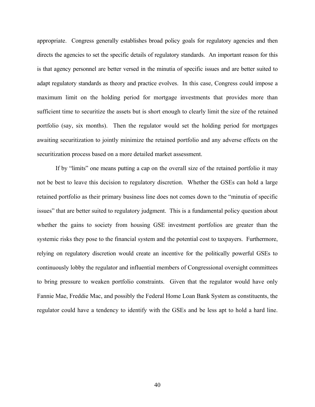appropriate. Congress generally establishes broad policy goals for regulatory agencies and then directs the agencies to set the specific details of regulatory standards. An important reason for this is that agency personnel are better versed in the minutia of specific issues and are better suited to adapt regulatory standards as theory and practice evolves. In this case, Congress could impose a maximum limit on the holding period for mortgage investments that provides more than sufficient time to securitize the assets but is short enough to clearly limit the size of the retained portfolio (say, six months). Then the regulator would set the holding period for mortgages awaiting securitization to jointly minimize the retained portfolio and any adverse effects on the securitization process based on a more detailed market assessment.

If by "limits" one means putting a cap on the overall size of the retained portfolio it may not be best to leave this decision to regulatory discretion. Whether the GSEs can hold a large retained portfolio as their primary business line does not comes down to the "minutia of specific issues" that are better suited to regulatory judgment. This is a fundamental policy question about whether the gains to society from housing GSE investment portfolios are greater than the systemic risks they pose to the financial system and the potential cost to taxpayers. Furthermore, relying on regulatory discretion would create an incentive for the politically powerful GSEs to continuously lobby the regulator and influential members of Congressional oversight committees to bring pressure to weaken portfolio constraints. Given that the regulator would have only Fannie Mae, Freddie Mac, and possibly the Federal Home Loan Bank System as constituents, the regulator could have a tendency to identify with the GSEs and be less apt to hold a hard line.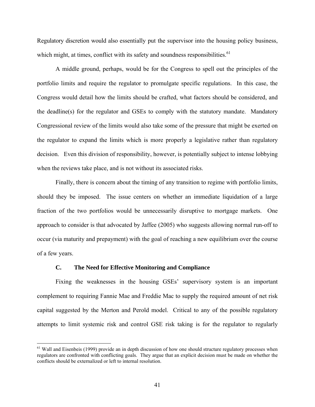Regulatory discretion would also essentially put the supervisor into the housing policy business, which might, at times, conflict with its safety and soundness responsibilities.<sup>61</sup>

A middle ground, perhaps, would be for the Congress to spell out the principles of the portfolio limits and require the regulator to promulgate specific regulations. In this case, the Congress would detail how the limits should be crafted, what factors should be considered, and the deadline(s) for the regulator and GSEs to comply with the statutory mandate. Mandatory Congressional review of the limits would also take some of the pressure that might be exerted on the regulator to expand the limits which is more properly a legislative rather than regulatory decision. Even this division of responsibility, however, is potentially subject to intense lobbying when the reviews take place, and is not without its associated risks.

Finally, there is concern about the timing of any transition to regime with portfolio limits, should they be imposed. The issue centers on whether an immediate liquidation of a large fraction of the two portfolios would be unnecessarily disruptive to mortgage markets. One approach to consider is that advocated by Jaffee (2005) who suggests allowing normal run-off to occur (via maturity and prepayment) with the goal of reaching a new equilibrium over the course of a few years.

### **C. The Need for Effective Monitoring and Compliance**

 $\overline{a}$ 

Fixing the weaknesses in the housing GSEs' supervisory system is an important complement to requiring Fannie Mae and Freddie Mac to supply the required amount of net risk capital suggested by the Merton and Perold model. Critical to any of the possible regulatory attempts to limit systemic risk and control GSE risk taking is for the regulator to regularly

 $61$  Wall and Eisenbeis (1999) provide an in depth discussion of how one should structure regulatory processes when regulators are confronted with conflicting goals. They argue that an explicit decision must be made on whether the conflicts should be externalized or left to internal resolution.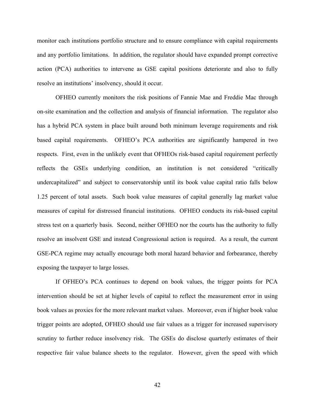monitor each institutions portfolio structure and to ensure compliance with capital requirements and any portfolio limitations. In addition, the regulator should have expanded prompt corrective action (PCA) authorities to intervene as GSE capital positions deteriorate and also to fully resolve an institutions' insolvency, should it occur.

OFHEO currently monitors the risk positions of Fannie Mae and Freddie Mac through on-site examination and the collection and analysis of financial information. The regulator also has a hybrid PCA system in place built around both minimum leverage requirements and risk based capital requirements. OFHEO's PCA authorities are significantly hampered in two respects. First, even in the unlikely event that OFHEOs risk-based capital requirement perfectly reflects the GSEs underlying condition, an institution is not considered "critically undercapitalized" and subject to conservatorship until its book value capital ratio falls below 1.25 percent of total assets. Such book value measures of capital generally lag market value measures of capital for distressed financial institutions. OFHEO conducts its risk-based capital stress test on a quarterly basis. Second, neither OFHEO nor the courts has the authority to fully resolve an insolvent GSE and instead Congressional action is required. As a result, the current GSE-PCA regime may actually encourage both moral hazard behavior and forbearance, thereby exposing the taxpayer to large losses.

If OFHEO's PCA continues to depend on book values, the trigger points for PCA intervention should be set at higher levels of capital to reflect the measurement error in using book values as proxies for the more relevant market values. Moreover, even if higher book value trigger points are adopted, OFHEO should use fair values as a trigger for increased supervisory scrutiny to further reduce insolvency risk. The GSEs do disclose quarterly estimates of their respective fair value balance sheets to the regulator. However, given the speed with which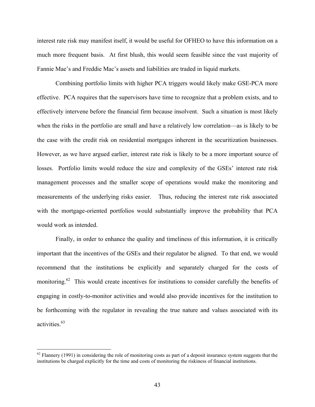interest rate risk may manifest itself, it would be useful for OFHEO to have this information on a much more frequent basis. At first blush, this would seem feasible since the vast majority of Fannie Mae's and Freddie Mac's assets and liabilities are traded in liquid markets.

Combining portfolio limits with higher PCA triggers would likely make GSE-PCA more effective. PCA requires that the supervisors have time to recognize that a problem exists, and to effectively intervene before the financial firm because insolvent. Such a situation is most likely when the risks in the portfolio are small and have a relatively low correlation—as is likely to be the case with the credit risk on residential mortgages inherent in the securitization businesses. However, as we have argued earlier, interest rate risk is likely to be a more important source of losses. Portfolio limits would reduce the size and complexity of the GSEs' interest rate risk management processes and the smaller scope of operations would make the monitoring and measurements of the underlying risks easier. Thus, reducing the interest rate risk associated with the mortgage-oriented portfolios would substantially improve the probability that PCA would work as intended.

Finally, in order to enhance the quality and timeliness of this information, it is critically important that the incentives of the GSEs and their regulator be aligned. To that end, we would recommend that the institutions be explicitly and separately charged for the costs of monitoring.<sup>62</sup> This would create incentives for institutions to consider carefully the benefits of engaging in costly-to-monitor activities and would also provide incentives for the institution to be forthcoming with the regulator in revealing the true nature and values associated with its activities.63

 $62$  Flannery (1991) in considering the role of monitoring costs as part of a deposit insurance system suggests that the institutions be charged explicitly for the time and costs of monitoring the riskiness of financial institutions.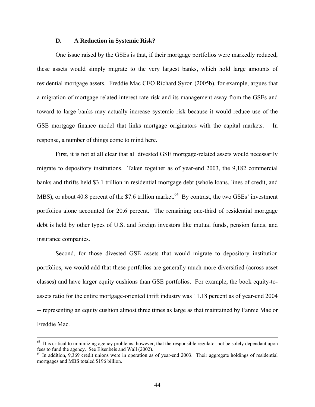### **D. A Reduction in Systemic Risk?**

 One issue raised by the GSEs is that, if their mortgage portfolios were markedly reduced, these assets would simply migrate to the very largest banks, which hold large amounts of residential mortgage assets. Freddie Mac CEO Richard Syron (2005b), for example, argues that a migration of mortgage-related interest rate risk and its management away from the GSEs and toward to large banks may actually increase systemic risk because it would reduce use of the GSE mortgage finance model that links mortgage originators with the capital markets. In response, a number of things come to mind here.

 First, it is not at all clear that all divested GSE mortgage-related assets would necessarily migrate to depository institutions. Taken together as of year-end 2003, the 9,182 commercial banks and thrifts held \$3.1 trillion in residential mortgage debt (whole loans, lines of credit, and MBS), or about 40.8 percent of the  $$7.6$  trillion market.<sup>64</sup> By contrast, the two GSEs' investment portfolios alone accounted for 20.6 percent. The remaining one-third of residential mortgage debt is held by other types of U.S. and foreign investors like mutual funds, pension funds, and insurance companies.

 Second, for those divested GSE assets that would migrate to depository institution portfolios, we would add that these portfolios are generally much more diversified (across asset classes) and have larger equity cushions than GSE portfolios. For example, the book equity-toassets ratio for the entire mortgage-oriented thrift industry was 11.18 percent as of year-end 2004 -- representing an equity cushion almost three times as large as that maintained by Fannie Mae or Freddie Mac.

 $63$  It is critical to minimizing agency problems, however, that the responsible regulator not be solely dependant upon fees to fund the agency. See Eisenbeis and Wall (2002).

 $64$  In addition, 9,369 credit unions were in operation as of year-end 2003. Their aggregate holdings of residential mortgages and MBS totaled \$196 billion.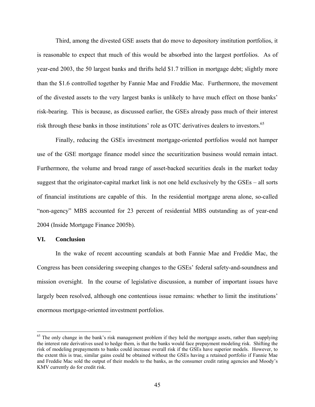Third, among the divested GSE assets that do move to depository institution portfolios, it is reasonable to expect that much of this would be absorbed into the largest portfolios. As of year-end 2003, the 50 largest banks and thrifts held \$1.7 trillion in mortgage debt; slightly more than the \$1.6 controlled together by Fannie Mae and Freddie Mac. Furthermore, the movement of the divested assets to the very largest banks is unlikely to have much effect on those banks' risk-bearing. This is because, as discussed earlier, the GSEs already pass much of their interest risk through these banks in those institutions' role as OTC derivatives dealers to investors.<sup>65</sup>

 Finally, reducing the GSEs investment mortgage-oriented portfolios would not hamper use of the GSE mortgage finance model since the securitization business would remain intact. Furthermore, the volume and broad range of asset-backed securities deals in the market today suggest that the originator-capital market link is not one held exclusively by the GSEs – all sorts of financial institutions are capable of this. In the residential mortgage arena alone, so-called "non-agency" MBS accounted for 23 percent of residential MBS outstanding as of year-end 2004 (Inside Mortgage Finance 2005b).

### **VI. Conclusion**

1

In the wake of recent accounting scandals at both Fannie Mae and Freddie Mac, the Congress has been considering sweeping changes to the GSEs' federal safety-and-soundness and mission oversight. In the course of legislative discussion, a number of important issues have largely been resolved, although one contentious issue remains: whether to limit the institutions' enormous mortgage-oriented investment portfolios.

 $65$  The only change in the bank's risk management problem if they held the mortgage assets, rather than supplying the interest rate derivatives used to hedge them, is that the banks would face prepayment modeling risk. Shifting the risk of modeling prepayments to banks could increase overall risk if the GSEs have superior models. However, to the extent this is true, similar gains could be obtained without the GSEs having a retained portfolio if Fannie Mae and Freddie Mac sold the output of their models to the banks, as the consumer credit rating agencies and Moody's KMV currently do for credit risk.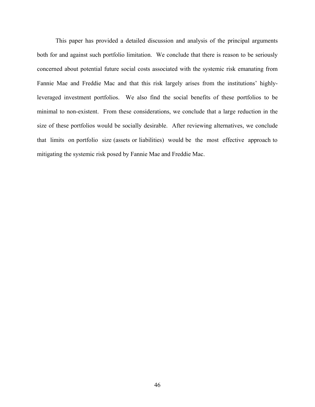This paper has provided a detailed discussion and analysis of the principal arguments both for and against such portfolio limitation. We conclude that there is reason to be seriously concerned about potential future social costs associated with the systemic risk emanating from Fannie Mae and Freddie Mac and that this risk largely arises from the institutions' highlyleveraged investment portfolios. We also find the social benefits of these portfolios to be minimal to non-existent. From these considerations, we conclude that a large reduction in the size of these portfolios would be socially desirable. After reviewing alternatives, we conclude that limits on portfolio size (assets or liabilities) would be the most effective approach to mitigating the systemic risk posed by Fannie Mae and Freddie Mac.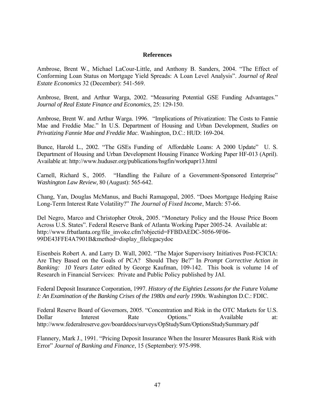### **References**

Ambrose, Brent W., Michael LaCour-Little, and Anthony B. Sanders, 2004. "The Effect of Conforming Loan Status on Mortgage Yield Spreads: A Loan Level Analysis". *Journal of Real Estate Economics* 32 (December): 541-569.

Ambrose, Brent, and Arthur Warga, 2002. "Measuring Potential GSE Funding Advantages." *Journal of Real Estate Finance and Economics*, 25: 129-150.

Ambrose, Brent W. and Arthur Warga. 1996. "Implications of Privatization: The Costs to Fannie Mae and Freddie Mac." In U.S. Department of Housing and Urban Development, *Studies on Privatizing Fannie Mae and Freddie Mac*. Washington, D.C.: HUD: 169-204.

Bunce, Harold L., 2002. "The GSEs Funding of Affordable Loans: A 2000 Update" U. S. Department of Housing and Urban Development Housing Finance Working Paper HF-013 (April). Available at: http://www.huduser.org/publications/hsgfin/workpapr13.html

Carnell, Richard S., 2005. "Handling the Failure of a Government-Sponsored Enterprise" *Washington Law Review*, 80 (August): 565-642.

Chang, Yan, Douglas McManus, and Buchi Ramagopal, 2005. "Does Mortgage Hedging Raise Long-Term Interest Rate Volatility?" *The Journal of Fixed Income*, March: 57-66.

Del Negro, Marco and Christopher Otrok, 2005. "Monetary Policy and the House Price Boom Across U.S. States". Federal Reserve Bank of Atlanta Working Paper 2005-24. Available at: http://www.frbatlanta.org/file\_invoke.cfm?objectid=FFBDAEDC-5056-9F06- 99DE43FFE4A7901B&method=display\_filelegacydoc

Eisenbeis Robert A. and Larry D. Wall, 2002. "The Major Supervisory Initiatives Post-FCICIA: Are They Based on the Goals of PCA? Should They Be?" In *Prompt Corrective Action in Banking: 10 Years Later* edited by George Kaufman, 109-142. This book is volume 14 of Research in Financial Services: Private and Public Policy published by JAI.

Federal Deposit Insurance Corporation, 1997. *History of the Eighties Lessons for the Future Volume I: An Examination of the Banking Crises of the 1980s and early 1990s*. Washington D.C.: FDIC.

Federal Reserve Board of Governors, 2005. "Concentration and Risk in the OTC Markets for U.S. Dollar Interest Rate Options." Available at: http://www.federalreserve.gov/boarddocs/surveys/OpStudySum/OptionsStudySummary.pdf

Flannery, Mark J., 1991. "Pricing Deposit Insurance When the Insurer Measures Bank Risk with Error" *Journal of Banking and Finance*, 15 (September): 975-998.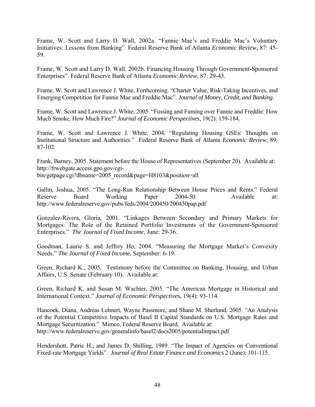Frame, W. Scott and Larry D. Wall, 2002a. "Fannie Mae's and Freddie Mac's Voluntary Initiatives: Lessons from Banking". Federal Reserve Bank of Atlanta *Economic Review*, 87: 45- 59.

Frame, W. Scott and Larry D. Wall. 2002b. Financing Housing Through Government-Sponsored Enterprises". Federal Reserve Bank of Atlanta *Economic Review*, 87: 29-43.

Frame, W. Scott and Lawrence J. White, Forthcoming. "Charter Value, Risk-Taking Incentives, and Emerging Competition for Fannie Mae and Freddie Mac". *Journal of Money, Credit, and Banking*.

Frame, W. Scott and Lawrence J. White, 2005. "Fussing and Fuming over Fannie and Freddie: How Much Smoke, How Much Fire?" *Journal of Economic Perspectives*, 19(2): 159-184.

Frame, W. Scott and Lawrence J. White, 2004. "Regulating Housing GSEs: Thoughts on Institutional Structure and Authorities." Federal Reserve Bank of Atlanta *Economic Review*, 89: 87-102.

Frank, Barney, 2005. Statement before the House of Representatives (September 20). Available at: http://frwebgate.access.gpo.gov/cgibin/getpage.cgi?dbname=2005\_record&page=H8103&position=all

Gallin, Joshua, 2005. "The Long-Run Relationship Between House Prices and Rents." Federal Reserve Board Working Paper 2004-50. Available at: http://www.federalreserve.gov/pubs/feds/2004/200450/200450pap.pdf

Gonzalez-Rivera, Gloria, 2001. "Linkages Between Secondary and Primary Markets for Mortgages: The Role of the Retained Portfolio Investments of the Government-Sponsored Enterprises." *The Journal of Fixed Income*, June: 29-36.

Goodman, Laurie S. and Jeffrey Ho, 2004. "Measuring the Mortgage Market's Convexity Needs." *The Journal of Fixed Income*, September: 6-19.

Green, Richard K., 2005. Testimony before the Committee on Banking, Housing, and Urban Affairs, U.S. Senate (February 10). Available at:

Green, Richard K. and Susan M. Wachter, 2005. "The American Mortgage in Historical and International Context." *Journal of Economic Perspectives*, 19(4): 93-114.

Hancock, Diana, Andreas Lehnert, Wayne Passmore, and Shane M. Sherlund, 2005. "An Analysis of the Potential Competitive Impacts of Basel II Capital Standards on U.S. Mortgage Rates and Mortgage Securitization." Mimeo, Federal Reserve Board. Available at: http://www.federalreserve.gov/generalinfo/basel2/docs2005/potentialimpact.pdf

Hendershott, Patric H., and James D. Shilling, 1989. "The Impact of Agencies on Conventional Fixed-rate Mortgage Yields". *Journal of Real Estate Finance and Economics* 2 (June): 101-115.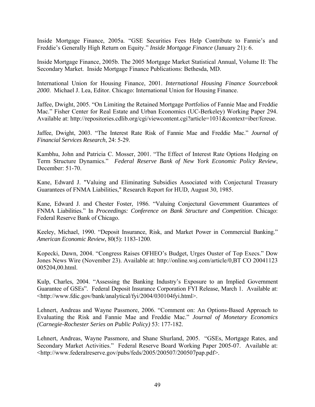Inside Mortgage Finance, 2005a. "GSE Securities Fees Help Contribute to Fannie's and Freddie's Generally High Return on Equity." *Inside Mortgage Finance* (January 21): 6.

Inside Mortgage Finance, 2005b. The 2005 Mortgage Market Statistical Annual, Volume II: The Secondary Market. Inside Mortgage Finance Publications: Bethesda, MD.

International Union for Housing Finance, 2001. *International Housing Finance Sourcebook 2000*. Michael J. Lea, Editor. Chicago: International Union for Housing Finance.

Jaffee, Dwight, 2005. "On Limiting the Retained Mortgage Portfolios of Fannie Mae and Freddie Mac." Fisher Center for Real Estate and Urban Economics (UC-Berkeley) Working Paper 294. Available at: http://repositories.cdlib.org/cgi/viewcontent.cgi?article=1031&context=iber/fcreue.

Jaffee, Dwight, 2003. "The Interest Rate Risk of Fannie Mae and Freddie Mac." *Journal of Financial Services Research*, 24: 5-29.

Kambhu, John and Patricia C. Mosser, 2001. "The Effect of Interest Rate Options Hedging on Term Structure Dynamics." *Federal Reserve Bank of New York Economic Policy Review*, December: 51-70.

Kane, Edward J. "Valuing and Eliminating Subsidies Associated with Conjectural Treasury Guarantees of FNMA Liabilities," Research Report for HUD, August 30, 1985.

Kane, Edward J. and Chester Foster, 1986. "Valuing Conjectural Government Guarantees of FNMA Liabilities." In *Proceedings: Conference on Bank Structure and Competition*. Chicago: Federal Reserve Bank of Chicago.

Keeley, Michael, 1990. "Deposit Insurance, Risk, and Market Power in Commercial Banking." *American Economic Review*, 80(5): 1183-1200.

Kopecki, Dawn, 2004. "Congress Raises OFHEO's Budget, Urges Ouster of Top Execs." Dow Jones News Wire (November 23). Available at: http://online.wsj.com/article/0,BT CO 20041123 005204,00.html.

Kulp, Charles, 2004. "Assessing the Banking Industry's Exposure to an Implied Government Guarantee of GSEs". Federal Deposit Insurance Corporation FYI Release, March 1. Available at: <http://www.fdic.gov/bank/analytical/fyi/2004/030104fyi.html>.

Lehnert, Andreas and Wayne Passmore, 2006. "Comment on: An Options-Based Approach to Evaluating the Risk and Fannie Mae and Freddie Mac." *Journal of Monetary Economics (Carnegie-Rochester Series on Public Policy)* 53: 177-182.

Lehnert, Andreas, Wayne Passmore, and Shane Shurland, 2005. "GSEs, Mortgage Rates, and Secondary Market Activities." Federal Reserve Board Working Paper 2005-07. Available at: <http://www.federalreserve.gov/pubs/feds/2005/200507/200507pap.pdf>.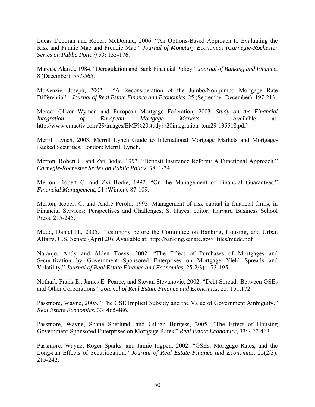Lucas Deborah and Robert McDonald, 2006. "An Options-Based Approach to Evaluating the Risk and Fannie Mae and Freddie Mac." *Journal of Monetary Economics (Carnegie-Rochester Series on Public Policy)* 53: 155-176.

Marcus, Alan J., 1984. "Deregulation and Bank Financial Policy." *Journal of Banking and Finance*, 8 (December): 557-565.

McKenzie, Joseph, 2002. "A Reconsideration of the Jumbo/Non-jumbo Mortgage Rate Differential". *Journal of Real Estate Finance and Economics*. 25 (September-December): 197-213.

Mercer Oliver Wyman and European Mortgage Federation, 2003. *Study on the Financial Integration of European Mortgage Markets*. Available at: http://www.euractiv.com/29/images/EMF%20study%20integration\_tcm29-135518.pdf

Merrill Lynch, 2003. Merrill Lynch Guide to International Mortgage Markets and Mortgage-Backed Securities. London: Merrill Lynch.

Merton, Robert C. and Zvi Bodie, 1993. "Deposit Insurance Reform: A Functional Approach." *Carnegie-Rochester Series on Public Policy*, 38: 1-34

Merton, Robert C. and Zvi Bodie, 1992. "On the Management of Financial Guarantees." *Financial Management*, 21 (Winter): 87-109.

Merton, Robert C. and André Perold, 1993. Management of risk capital in financial firms, in Financial Services: Perspectives and Challenges, S. Hayes, editor, Harvard Business School Press, 215-245.

Mudd, Daniel H., 2005. Testimony before the Committee on Banking, Housing, and Urban Affairs, U.S. Senate (April 20). Available at: http://banking.senate.gov/\_files/mudd.pdf

Naranjo, Andy and Alden Toevs, 2002. "The Effect of Purchases of Mortgages and Securitization by Government Sponsored Enterprises on Mortgage Yield Spreads and Volatility." *Journal of Real Estate Finance and Economics*, 25(2/3): 173-195.

Nothaft, Frank E., James E. Pearce, and Stevan Stevanovic, 2002. "Debt Spreads Between GSEs and Other Corporations." *Journal of Real Estate Finance and Economics*, 25: 151:172.

Passmore, Wayne, 2005. "The GSE Implicit Subsidy and the Value of Government Ambiguity." *Real Estate Economics*, 33: 465-486.

Passmore, Wayne, Shane Sherlund, and Gillian Burgess, 2005. "The Effect of Housing Government-Sponsored Enterprises on Mortgage Rates." *Real Estate Economics*, 33: 427-463.

Passmore, Wayne, Roger Sparks, and Jamie Ingpen, 2002. "GSEs, Mortgage Rates, and the Long-run Effects of Securitization." *Journal of Real Estate Finance and Economics*, 25(2/3): 215-242.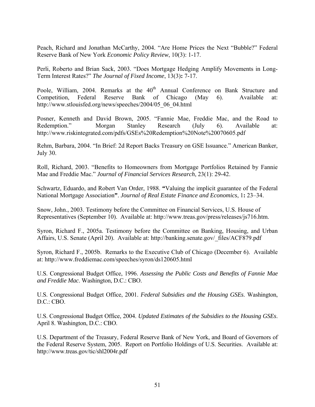Peach, Richard and Jonathan McCarthy, 2004. "Are Home Prices the Next "Bubble?" Federal Reserve Bank of New York *Economic Policy Review*, 10(3): 1-17.

Perli, Roberto and Brian Sack, 2003. "Does Mortgage Hedging Amplify Movements in Long-Term Interest Rates?" *The Journal of Fixed Income*, 13(3)**:** 7-17.

Poole, William, 2004. Remarks at the 40<sup>th</sup> Annual Conference on Bank Structure and Competition, Federal Reserve Bank of Chicago (May 6). Available at: http://www.stlouisfed.org/news/speeches/2004/05\_06\_04.html

Posner, Kenneth and David Brown, 2005. "Fannie Mae, Freddie Mac, and the Road to Redemption." Morgan Stanley Research (July 6). Available at: http://www.riskintegrated.com/pdfs/GSEs%20Redemption%20Note%20070605.pdf

Rehm, Barbara, 2004. "In Brief: 2d Report Backs Treasury on GSE Issuance." American Banker, July 30.

Roll, Richard, 2003. "Benefits to Homeowners from Mortgage Portfolios Retained by Fannie Mae and Freddie Mac." *Journal of Financial Services Research*, 23(1): 29-42.

Schwartz, Eduardo, and Robert Van Order, 1988. **"**Valuing the implicit guarantee of the Federal National Mortgage Association**"**. *Journal of Real Estate Finance and Economics*, 1**:** 23–34.

Snow, John., 2003. Testimony before the Committee on Financial Services, U.S. House of Representatives (September 10). Available at: http://www.treas.gov/press/releases/js716.htm.

Syron, Richard F., 2005a. Testimony before the Committee on Banking, Housing, and Urban Affairs, U.S. Senate (April 20). Available at: http://banking.senate.gov/\_files/ACF879.pdf

Syron, Richard F., 2005b. Remarks to the Executive Club of Chicago (December 6). Available at: http://www.freddiemac.com/speeches/syron/ds120605.html

U.S. Congressional Budget Office, 1996. *Assessing the Public Costs and Benefits of Fannie Mae and Freddie Mac*. Washington, D.C.: CBO.

U.S. Congressional Budget Office, 2001. *Federal Subsidies and the Housing GSEs*. Washington, D.C.: CBO.

U.S. Congressional Budget Office, 2004. *Updated Estimates of the Subsidies to the Housing GSEs*. April 8. Washington, D.C.: CBO.

U.S. Department of the Treasury, Federal Reserve Bank of New York, and Board of Governors of the Federal Reserve System, 2005. Report on Portfolio Holdings of U.S. Securities. Available at: http://www.treas.gov/tic/shl2004r.pdf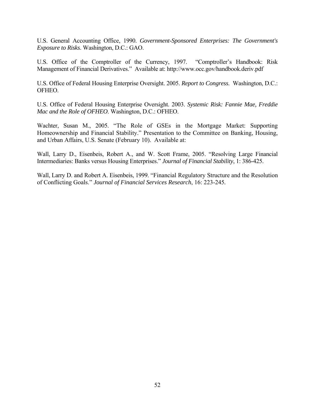U.S. General Accounting Office, 1990. *Government-Sponsored Enterprises: The Government's Exposure to Risks*. Washington, D.C.: GAO.

U.S. Office of the Comptroller of the Currency, 1997. "Comptroller's Handbook: Risk Management of Financial Derivatives." Available at: http://www.occ.gov/handbook.deriv.pdf

U.S. Office of Federal Housing Enterprise Oversight. 2005. *Report to Congress*. Washington, D.C.: OFHEO.

U.S. Office of Federal Housing Enterprise Oversight. 2003. *Systemic Risk: Fannie Mae, Freddie Mac and the Role of OFHEO*. Washington, D.C.: OFHEO.

Wachter, Susan M., 2005. "The Role of GSEs in the Mortgage Market: Supporting Homeownership and Financial Stability." Presentation to the Committee on Banking, Housing, and Urban Affairs, U.S. Senate (February 10). Available at:

Wall, Larry D., Eisenbeis, Robert A., and W. Scott Frame, 2005. "Resolving Large Financial Intermediaries: Banks versus Housing Enterprises." *Journal of Financial Stability*, 1: 386-425.

Wall, Larry D. and Robert A. Eisenbeis, 1999. "Financial Regulatory Structure and the Resolution of Conflicting Goals." *Journal of Financial Services Research*, 16: 223-245*.*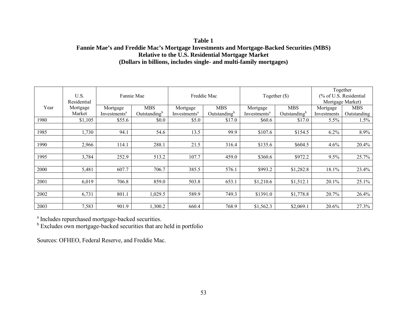### **Table 1 Fannie Mae's and Freddie Mac's Mortgage Investments and Mortgage-Backed Securities (MBS) Relative to the U.S. Residential Mortgage Market (Dollars in billions, includes single- and multi-family mortgages)**

|      |             |                          |                          |                          |                          |                          |                          |                        | Together    |
|------|-------------|--------------------------|--------------------------|--------------------------|--------------------------|--------------------------|--------------------------|------------------------|-------------|
|      | U.S.        | Fannie Mae               |                          | Freddie Mac              |                          | Together $(\$)$          |                          | (% of U.S. Residential |             |
|      | Residential |                          |                          |                          |                          |                          |                          | Mortgage Market)       |             |
| Year | Mortgage    | Mortgage                 | <b>MBS</b>               | Mortgage                 | <b>MBS</b>               | Mortgage                 | <b>MBS</b>               | Mortgage               | <b>MBS</b>  |
|      | Market      | Investments <sup>a</sup> | Outstanding <sup>b</sup> | Investments <sup>a</sup> | Outstanding <sup>b</sup> | Investments <sup>a</sup> | Outstanding <sup>b</sup> | Investments            | Outstanding |
| 1980 | \$1,105     | \$55.6                   | \$0.0                    | \$5.0                    | \$17.0                   | \$60.6                   | \$17.0                   | 5.5%                   | 1.5%        |
|      |             |                          |                          |                          |                          |                          |                          |                        |             |
| 1985 | 1,730       | 94.1                     | 54.6                     | 13.5                     | 99.9                     | \$107.6                  | \$154.5                  | 6.2%                   | 8.9%        |
|      |             |                          |                          |                          |                          |                          |                          |                        |             |
| 1990 | 2,966       | 114.1                    | 288.1                    | 21.5                     | 316.4                    | \$135.6                  | \$604.5                  | 4.6%                   | 20.4%       |
|      |             |                          |                          |                          |                          |                          |                          |                        |             |
| 1995 | 3,784       | 252.9                    | 513.2                    | 107.7                    | 459.0                    | \$360.6                  | \$972.2                  | 9.5%                   | 25.7%       |
|      |             |                          |                          |                          |                          |                          |                          |                        |             |
| 2000 | 5,481       | 607.7                    | 706.7                    | 385.5                    | 576.1                    | \$993.2                  | \$1,282.8                | 18.1%                  | 23.4%       |
|      |             |                          |                          |                          |                          |                          |                          |                        |             |
| 2001 | 6,019       | 706.8                    | 859.0                    | 503.8                    | 653.1                    | \$1,210.6                | \$1,512.1                | 20.1%                  | 25.1%       |
|      |             |                          |                          |                          |                          |                          |                          |                        |             |
| 2002 | 6,731       | 801.1                    | 1,029.5                  | 589.9                    | 749.3                    | \$1391.0                 | \$1,778.8                | 20.7%                  | 26.4%       |
|      |             |                          |                          |                          |                          |                          |                          |                        |             |
| 2003 | 7,583       | 901.9                    | 1,300.2                  | 660.4                    | 768.9                    | \$1,562.3                | \$2,069.1                | 20.6%                  | 27.3%       |

<sup>a</sup> Includes repurchased mortgage-backed securities.

<sup>b</sup> Excludes own mortgage-backed securities that are held in portfolio

Sources: OFHEO, Federal Reserve, and Freddie Mac.